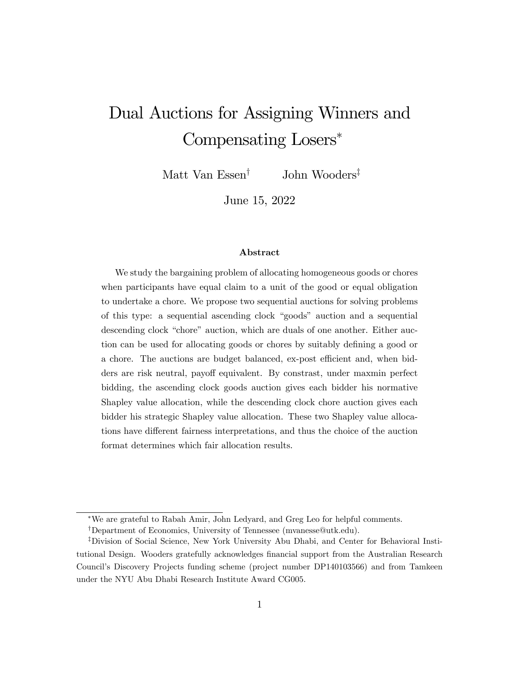# Dual Auctions for Assigning Winners and Compensating Losers

Matt Van Essen<sup>†</sup> John Wooders<sup>‡</sup>

June 15, 2022

#### Abstract

We study the bargaining problem of allocating homogeneous goods or chores when participants have equal claim to a unit of the good or equal obligation to undertake a chore. We propose two sequential auctions for solving problems of this type: a sequential ascending clock "goods" auction and a sequential descending clock "chore" auction, which are duals of one another. Either auction can be used for allocating goods or chores by suitably defining a good or a chore. The auctions are budget balanced, ex-post efficient and, when bidders are risk neutral, payoff equivalent. By constrast, under maxmin perfect bidding, the ascending clock goods auction gives each bidder his normative Shapley value allocation, while the descending clock chore auction gives each bidder his strategic Shapley value allocation. These two Shapley value allocations have different fairness interpretations, and thus the choice of the auction format determines which fair allocation results.

We are grateful to Rabah Amir, John Ledyard, and Greg Leo for helpful comments.

<sup>&</sup>lt;sup>†</sup>Department of Economics, University of Tennessee (mvanesse@utk.edu).

<sup>&</sup>lt;sup>‡</sup>Division of Social Science, New York University Abu Dhabi, and Center for Behavioral Institutional Design. Wooders gratefully acknowledges financial support from the Australian Research Councilís Discovery Projects funding scheme (project number DP140103566) and from Tamkeen under the NYU Abu Dhabi Research Institute Award CG005.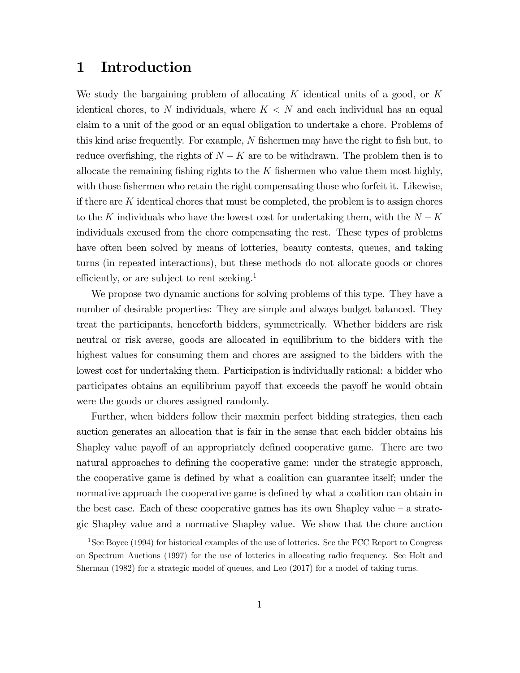# 1 Introduction

We study the bargaining problem of allocating  $K$  identical units of a good, or  $K$ identical chores, to N individuals, where  $K < N$  and each individual has an equal claim to a unit of the good or an equal obligation to undertake a chore. Problems of this kind arise frequently. For example,  $N$  fishermen may have the right to fish but, to reduce overfishing, the rights of  $N - K$  are to be withdrawn. The problem then is to allocate the remaining fishing rights to the  $K$  fishermen who value them most highly, with those fishermen who retain the right compensating those who forfeit it. Likewise, if there are  $K$  identical chores that must be completed, the problem is to assign chores to the K individuals who have the lowest cost for undertaking them, with the  $N - K$ individuals excused from the chore compensating the rest. These types of problems have often been solved by means of lotteries, beauty contests, queues, and taking turns (in repeated interactions), but these methods do not allocate goods or chores efficiently, or are subject to rent seeking.<sup>1</sup>

We propose two dynamic auctions for solving problems of this type. They have a number of desirable properties: They are simple and always budget balanced. They treat the participants, henceforth bidders, symmetrically. Whether bidders are risk neutral or risk averse, goods are allocated in equilibrium to the bidders with the highest values for consuming them and chores are assigned to the bidders with the lowest cost for undertaking them. Participation is individually rational: a bidder who participates obtains an equilibrium payoff that exceeds the payoff he would obtain were the goods or chores assigned randomly.

Further, when bidders follow their maxmin perfect bidding strategies, then each auction generates an allocation that is fair in the sense that each bidder obtains his Shapley value payoff of an appropriately defined cooperative game. There are two natural approaches to defining the cooperative game: under the strategic approach, the cooperative game is defined by what a coalition can guarantee itself; under the normative approach the cooperative game is defined by what a coalition can obtain in the best case. Each of these cooperative games has its own Shapley value  $-$  a strategic Shapley value and a normative Shapley value. We show that the chore auction

<sup>&</sup>lt;sup>1</sup>See Boyce (1994) for historical examples of the use of lotteries. See the FCC Report to Congress on Spectrum Auctions (1997) for the use of lotteries in allocating radio frequency. See Holt and Sherman (1982) for a strategic model of queues, and Leo (2017) for a model of taking turns.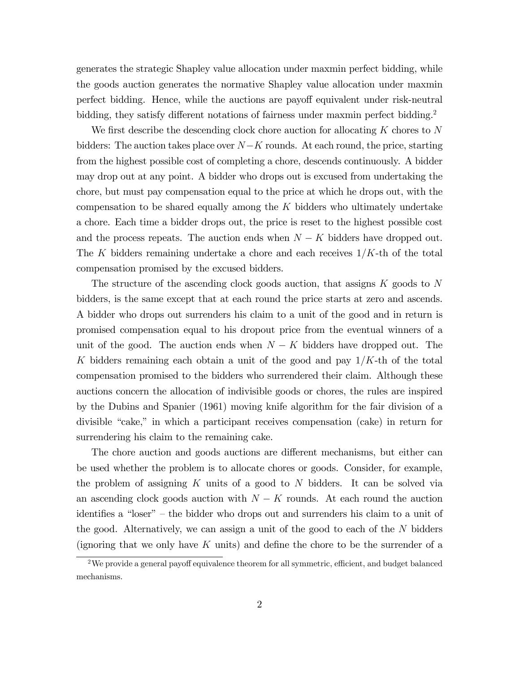generates the strategic Shapley value allocation under maxmin perfect bidding, while the goods auction generates the normative Shapley value allocation under maxmin perfect bidding. Hence, while the auctions are payoff equivalent under risk-neutral bidding, they satisfy different notations of fairness under maxmin perfect bidding.<sup>2</sup>

We first describe the descending clock chore auction for allocating  $K$  chores to  $N$ bidders: The auction takes place over  $N-K$  rounds. At each round, the price, starting from the highest possible cost of completing a chore, descends continuously. A bidder may drop out at any point. A bidder who drops out is excused from undertaking the chore, but must pay compensation equal to the price at which he drops out, with the compensation to be shared equally among the K bidders who ultimately undertake a chore. Each time a bidder drops out, the price is reset to the highest possible cost and the process repeats. The auction ends when  $N - K$  bidders have dropped out. The K bidders remaining undertake a chore and each receives  $1/K$ -th of the total compensation promised by the excused bidders.

The structure of the ascending clock goods auction, that assigns K goods to N bidders, is the same except that at each round the price starts at zero and ascends. A bidder who drops out surrenders his claim to a unit of the good and in return is promised compensation equal to his dropout price from the eventual winners of a unit of the good. The auction ends when  $N - K$  bidders have dropped out. The K bidders remaining each obtain a unit of the good and pay  $1/K$ -th of the total compensation promised to the bidders who surrendered their claim. Although these auctions concern the allocation of indivisible goods or chores, the rules are inspired by the Dubins and Spanier (1961) moving knife algorithm for the fair division of a divisible "cake," in which a participant receives compensation (cake) in return for surrendering his claim to the remaining cake.

The chore auction and goods auctions are different mechanisms, but either can be used whether the problem is to allocate chores or goods. Consider, for example, the problem of assigning K units of a good to N bidders. It can be solved via an ascending clock goods auction with  $N - K$  rounds. At each round the auction identifies a "loser" – the bidder who drops out and surrenders his claim to a unit of the good. Alternatively, we can assign a unit of the good to each of the  $N$  bidders (ignoring that we only have K units) and define the chore to be the surrender of a

<sup>&</sup>lt;sup>2</sup>We provide a general payoff equivalence theorem for all symmetric, efficient, and budget balanced mechanisms.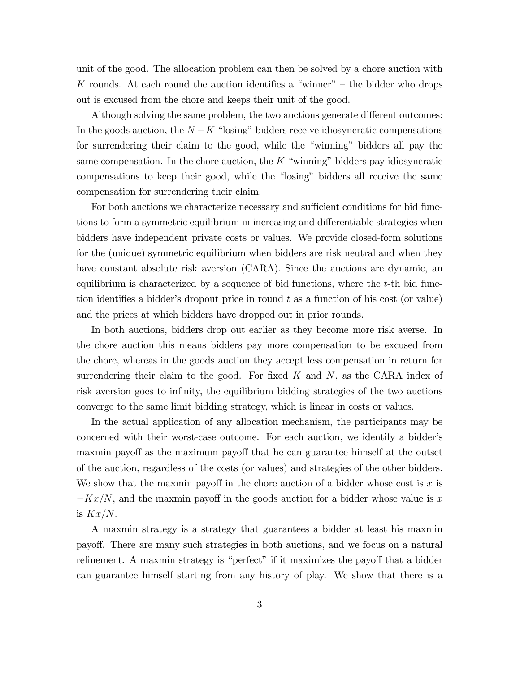unit of the good. The allocation problem can then be solved by a chore auction with K rounds. At each round the auction identifies a "winner" – the bidder who drops out is excused from the chore and keeps their unit of the good.

Although solving the same problem, the two auctions generate different outcomes: In the goods auction, the  $N - K$  "losing" bidders receive idiosyncratic compensations for surrendering their claim to the good, while the "winning" bidders all pay the same compensation. In the chore auction, the  $K$  "winning" bidders pay idiosyncratic compensations to keep their good, while the "losing" bidders all receive the same compensation for surrendering their claim.

For both auctions we characterize necessary and sufficient conditions for bid functions to form a symmetric equilibrium in increasing and differentiable strategies when bidders have independent private costs or values. We provide closed-form solutions for the (unique) symmetric equilibrium when bidders are risk neutral and when they have constant absolute risk aversion (CARA). Since the auctions are dynamic, an equilibrium is characterized by a sequence of bid functions, where the  $t$ -th bid function identifies a bidder's dropout price in round  $t$  as a function of his cost (or value) and the prices at which bidders have dropped out in prior rounds.

In both auctions, bidders drop out earlier as they become more risk averse. In the chore auction this means bidders pay more compensation to be excused from the chore, whereas in the goods auction they accept less compensation in return for surrendering their claim to the good. For fixed  $K$  and  $N$ , as the CARA index of risk aversion goes to infinity, the equilibrium bidding strategies of the two auctions converge to the same limit bidding strategy, which is linear in costs or values.

In the actual application of any allocation mechanism, the participants may be concerned with their worst-case outcome. For each auction, we identify a bidder's maxmin payoff as the maximum payoff that he can guarantee himself at the outset of the auction, regardless of the costs (or values) and strategies of the other bidders. We show that the maxmin payoff in the chore auction of a bidder whose cost is x is  $-Kx/N$ , and the maxmin payoff in the goods auction for a bidder whose value is x is  $Kx/N$ .

A maxmin strategy is a strategy that guarantees a bidder at least his maxmin payo§. There are many such strategies in both auctions, and we focus on a natural refinement. A maxmin strategy is "perfect" if it maximizes the payoff that a bidder can guarantee himself starting from any history of play. We show that there is a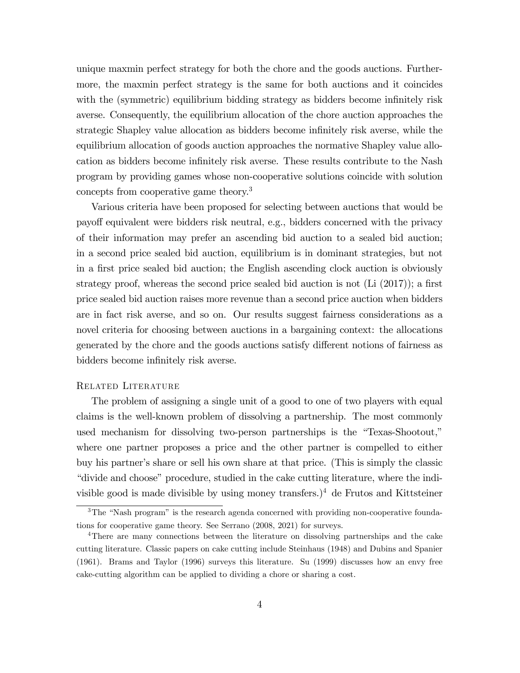unique maxmin perfect strategy for both the chore and the goods auctions. Furthermore, the maxmin perfect strategy is the same for both auctions and it coincides with the (symmetric) equilibrium bidding strategy as bidders become infinitely risk averse. Consequently, the equilibrium allocation of the chore auction approaches the strategic Shapley value allocation as bidders become infinitely risk averse, while the equilibrium allocation of goods auction approaches the normative Shapley value allocation as bidders become infinitely risk averse. These results contribute to the Nash program by providing games whose non-cooperative solutions coincide with solution concepts from cooperative game theory.<sup>3</sup>

Various criteria have been proposed for selecting between auctions that would be payo§ equivalent were bidders risk neutral, e.g., bidders concerned with the privacy of their information may prefer an ascending bid auction to a sealed bid auction; in a second price sealed bid auction, equilibrium is in dominant strategies, but not in a first price sealed bid auction; the English ascending clock auction is obviously strategy proof, whereas the second price sealed bid auction is not  $(L<sub>i</sub> (2017))$ ; a first price sealed bid auction raises more revenue than a second price auction when bidders are in fact risk averse, and so on. Our results suggest fairness considerations as a novel criteria for choosing between auctions in a bargaining context: the allocations generated by the chore and the goods auctions satisfy different notions of fairness as bidders become infinitely risk averse.

### Related Literature

The problem of assigning a single unit of a good to one of two players with equal claims is the well-known problem of dissolving a partnership. The most commonly used mechanism for dissolving two-person partnerships is the "Texas-Shootout," where one partner proposes a price and the other partner is compelled to either buy his partner's share or sell his own share at that price. (This is simply the classic ìdivide and chooseîprocedure, studied in the cake cutting literature, where the indivisible good is made divisible by using money transfers.)<sup>4</sup> de Frutos and Kittsteiner

 $3$ The "Nash program" is the research agenda concerned with providing non-cooperative foundations for cooperative game theory. See Serrano (2008, 2021) for surveys.

<sup>4</sup>There are many connections between the literature on dissolving partnerships and the cake cutting literature. Classic papers on cake cutting include Steinhaus (1948) and Dubins and Spanier (1961). Brams and Taylor (1996) surveys this literature. Su (1999) discusses how an envy free cake-cutting algorithm can be applied to dividing a chore or sharing a cost.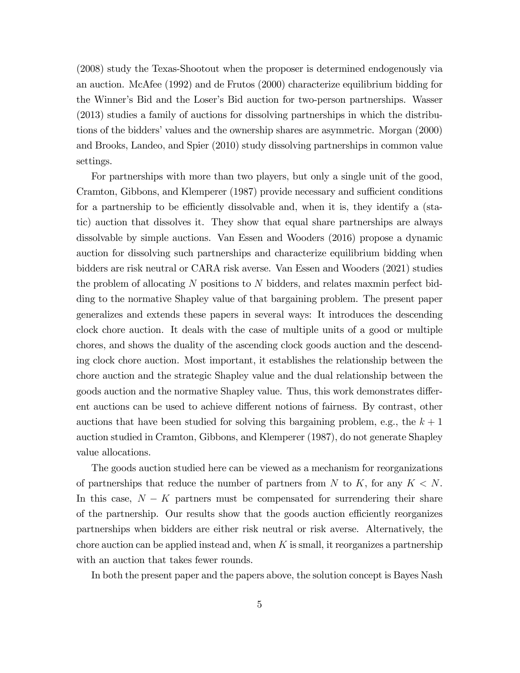(2008) study the Texas-Shootout when the proposer is determined endogenously via an auction. McAfee (1992) and de Frutos (2000) characterize equilibrium bidding for the Winner's Bid and the Loser's Bid auction for two-person partnerships. Wasser (2013) studies a family of auctions for dissolving partnerships in which the distributions of the bidders' values and the ownership shares are asymmetric. Morgan (2000) and Brooks, Landeo, and Spier (2010) study dissolving partnerships in common value settings.

For partnerships with more than two players, but only a single unit of the good, Cramton, Gibbons, and Klemperer (1987) provide necessary and sufficient conditions for a partnership to be efficiently dissolvable and, when it is, they identify a (static) auction that dissolves it. They show that equal share partnerships are always dissolvable by simple auctions. Van Essen and Wooders (2016) propose a dynamic auction for dissolving such partnerships and characterize equilibrium bidding when bidders are risk neutral or CARA risk averse. Van Essen and Wooders (2021) studies the problem of allocating N positions to N bidders, and relates maxmin perfect bidding to the normative Shapley value of that bargaining problem. The present paper generalizes and extends these papers in several ways: It introduces the descending clock chore auction. It deals with the case of multiple units of a good or multiple chores, and shows the duality of the ascending clock goods auction and the descending clock chore auction. Most important, it establishes the relationship between the chore auction and the strategic Shapley value and the dual relationship between the goods auction and the normative Shapley value. Thus, this work demonstrates different auctions can be used to achieve different notions of fairness. By contrast, other auctions that have been studied for solving this bargaining problem, e.g., the  $k+1$ auction studied in Cramton, Gibbons, and Klemperer (1987), do not generate Shapley value allocations.

The goods auction studied here can be viewed as a mechanism for reorganizations of partnerships that reduce the number of partners from N to K, for any  $K < N$ . In this case,  $N - K$  partners must be compensated for surrendering their share of the partnership. Our results show that the goods auction efficiently reorganizes partnerships when bidders are either risk neutral or risk averse. Alternatively, the chore auction can be applied instead and, when K is small, it reorganizes a partnership with an auction that takes fewer rounds.

In both the present paper and the papers above, the solution concept is Bayes Nash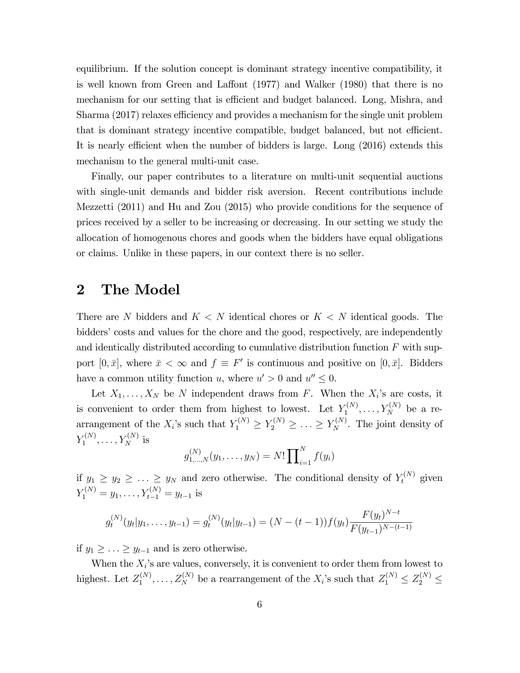equilibrium. If the solution concept is dominant strategy incentive compatibility, it is well known from Green and Laffont  $(1977)$  and Walker  $(1980)$  that there is no mechanism for our setting that is efficient and budget balanced. Long, Mishra, and Sharma (2017) relaxes efficiency and provides a mechanism for the single unit problem that is dominant strategy incentive compatible, budget balanced, but not efficient. It is nearly efficient when the number of bidders is large. Long  $(2016)$  extends this mechanism to the general multi-unit case.

Finally, our paper contributes to a literature on multi-unit sequential auctions with single-unit demands and bidder risk aversion. Recent contributions include Mezzetti (2011) and Hu and Zou (2015) who provide conditions for the sequence of prices received by a seller to be increasing or decreasing. In our setting we study the allocation of homogenous chores and goods when the bidders have equal obligations or claims. Unlike in these papers, in our context there is no seller.

## 2 The Model

There are N bidders and  $K < N$  identical chores or  $K < N$  identical goods. The bidders' costs and values for the chore and the good, respectively, are independently and identically distributed according to cumulative distribution function  $F$  with support  $[0, \bar{x}]$ , where  $\bar{x} < \infty$  and  $f \equiv F'$  is continuous and positive on  $[0, \bar{x}]$ . Bidders have a common utility function u, where  $u' > 0$  and  $u'' \leq 0$ .

Let  $X_1, \ldots, X_N$  be N independent draws from F. When the  $X_i$ 's are costs, it is convenient to order them from highest to lowest. Let  $Y_1^{(N)}$  $Y_1^{(N)}, \ldots, Y_N^{(N)}$  be a rearrangement of the  $X_i$ 's such that  $Y_1^{(N)} \geq Y_2^{(N)} \geq \ldots \geq Y_N^{(N)}$ . The joint density of  $Y_1^{(N)}$  $Y_1^{(N)}, \ldots, Y_N^{(N)}$  is

$$
g_{1,\ldots,N}^{(N)}(y_1,\ldots,y_N)=N!\prod\nolimits_{i=1}^N f(y_i)
$$

if  $y_1 \ge y_2 \ge \ldots \ge y_N$  and zero otherwise. The conditional density of  $Y_t^{(N)}$  given  $Y_1^{(N)} = y_1, \ldots, Y_{t-1}^{(N)} = y_{t-1}$  is

$$
g_t^{(N)}(y_t|y_1,\ldots,y_{t-1}) = g_t^{(N)}(y_t|y_{t-1}) = (N - (t-1))f(y_t)\frac{F(y_t)^{N-t}}{F(y_{t-1})^{N-(t-1)}}
$$

if  $y_1 \geq \ldots \geq y_{t-1}$  and is zero otherwise.

When the  $X_i$ 's are values, conversely, it is convenient to order them from lowest to highest. Let  $Z_1^{(N)}$  $Z_1^{(N)}, \ldots, Z_N^{(N)}$  be a rearrangement of the  $X_i$ 's such that  $Z_1^{(N)} \leq Z_2^{(N)} \leq$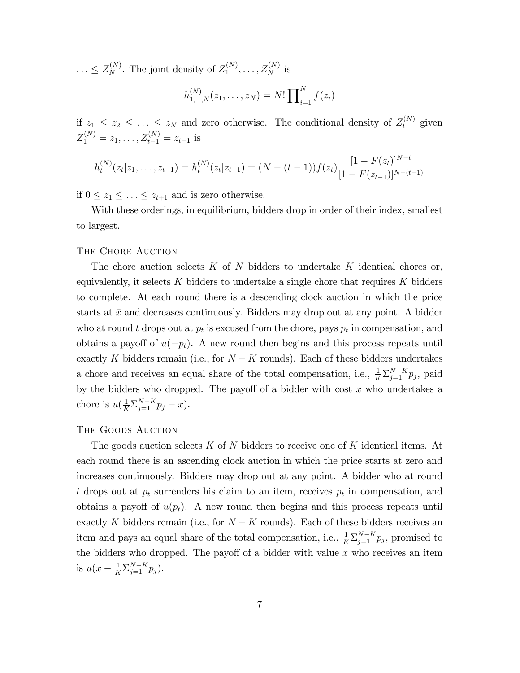$\ldots \leq Z_N^{(N)}$ . The joint density of  $Z_1^{(N)}$  $z_1^{(N)}, \ldots, Z_N^{(N)}$  is

$$
h_{1,\ldots,N}^{(N)}(z_1,\ldots,z_N)=N!\prod_{i=1}^N f(z_i)
$$

if  $z_1 \leq z_2 \leq \ldots \leq z_N$  and zero otherwise. The conditional density of  $Z_t^{(N)}$  given  $Z_1^{(N)} = z_1, \ldots, Z_{t-1}^{(N)} = z_{t-1}$  is

$$
h_t^{(N)}(z_t|z_1,\ldots,z_{t-1}) = h_t^{(N)}(z_t|z_{t-1}) = (N - (t-1))f(z_t)\frac{[1 - F(z_t)]^{N-t}}{[1 - F(z_{t-1})]^{N-(t-1)}}
$$

if  $0 \leq z_1 \leq \ldots \leq z_{t+1}$  and is zero otherwise.

With these orderings, in equilibrium, bidders drop in order of their index, smallest to largest.

#### THE CHORE AUCTION

The chore auction selects  $K$  of  $N$  bidders to undertake  $K$  identical chores or, equivalently, it selects K bidders to undertake a single chore that requires K bidders to complete. At each round there is a descending clock auction in which the price starts at  $\bar{x}$  and decreases continuously. Bidders may drop out at any point. A bidder who at round t drops out at  $p_t$  is excused from the chore, pays  $p_t$  in compensation, and obtains a payoff of  $u(-p_t)$ . A new round then begins and this process repeats until exactly K bidders remain (i.e., for  $N - K$  rounds). Each of these bidders undertakes a chore and receives an equal share of the total compensation, i.e.,  $\frac{1}{K} \sum_{j=1}^{N-K} p_j$ , paid by the bidders who dropped. The payoff of a bidder with cost  $x$  who undertakes a chore is  $u(\frac{1}{K}\sum_{j=1}^{N-K}p_j - x)$ .

## The Goods Auction

The goods auction selects  $K$  of N bidders to receive one of K identical items. At each round there is an ascending clock auction in which the price starts at zero and increases continuously. Bidders may drop out at any point. A bidder who at round t drops out at  $p_t$  surrenders his claim to an item, receives  $p_t$  in compensation, and obtains a payoff of  $u(p_t)$ . A new round then begins and this process repeats until exactly K bidders remain (i.e., for  $N - K$  rounds). Each of these bidders receives an item and pays an equal share of the total compensation, i.e.,  $\frac{1}{K} \sum_{j=1}^{N-K} p_j$ , promised to the bidders who dropped. The payoff of a bidder with value  $x$  who receives an item is  $u(x - \frac{1}{K} \sum_{j=1}^{N-K} p_j)$ .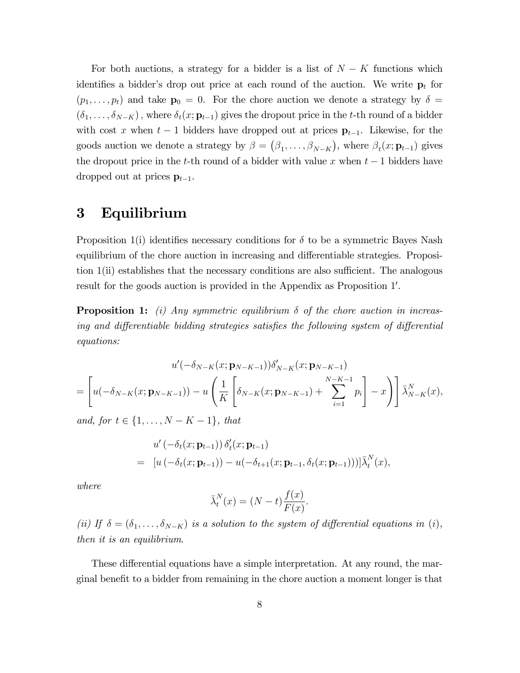For both auctions, a strategy for a bidder is a list of  $N - K$  functions which identifies a bidder's drop out price at each round of the auction. We write  $p_t$  for  $(p_1, \ldots, p_t)$  and take  $\mathbf{p}_0 = 0$ . For the chore auction we denote a strategy by  $\delta =$  $(\delta_1, \ldots, \delta_{N-K})$ , where  $\delta_t(x; \mathbf{p}_{t-1})$  gives the dropout price in the t-th round of a bidder with cost x when  $t-1$  bidders have dropped out at prices  $\mathbf{p}_{t-1}$ . Likewise, for the goods auction we denote a strategy by  $\beta = (\beta_1, \ldots, \beta_{N-K})$ , where  $\beta_t(x; \mathbf{p}_{t-1})$  gives the dropout price in the t-th round of a bidder with value x when  $t-1$  bidders have dropped out at prices  $\mathbf{p}_{t-1}$ .

# 3 Equilibrium

Proposition 1(i) identifies necessary conditions for  $\delta$  to be a symmetric Bayes Nash equilibrium of the chore auction in increasing and differentiable strategies. Proposition  $1(i)$  establishes that the necessary conditions are also sufficient. The analogous result for the goods auction is provided in the Appendix as Proposition 1'.

**Proposition 1:** (i) Any symmetric equilibrium  $\delta$  of the chore auction in increasing and differentiable bidding strategies satisfies the following system of differential equations:

$$
u'(-\delta_{N-K}(x; \mathbf{p}_{N-K-1}))\delta'_{N-K}(x; \mathbf{p}_{N-K-1})
$$
  
=  $\left[ u(-\delta_{N-K}(x; \mathbf{p}_{N-K-1})) - u\left(\frac{1}{K}\left[\delta_{N-K}(x; \mathbf{p}_{N-K-1}) + \sum_{i=1}^{N-K-1} p_i\right] - x\right) \right] \bar{\lambda}_{N-K}^{N}(x),$ 

and, for  $t \in \{1, ..., N - K - 1\}$ , that

$$
u'(-\delta_t(x; \mathbf{p}_{t-1})) \, \delta'_t(x; \mathbf{p}_{t-1})
$$
  
= 
$$
[u(-\delta_t(x; \mathbf{p}_{t-1})) - u(-\delta_{t+1}(x; \mathbf{p}_{t-1}, \delta_t(x; \mathbf{p}_{t-1})))] \bar{\lambda}_t^N(x),
$$

where

$$
\bar{\lambda}_t^N(x) = (N-t)\frac{f(x)}{F(x)}.
$$

(ii) If  $\delta = (\delta_1, \ldots, \delta_{N-K})$  is a solution to the system of differential equations in (i), then it is an equilibrium.

These differential equations have a simple interpretation. At any round, the marginal benefit to a bidder from remaining in the chore auction a moment longer is that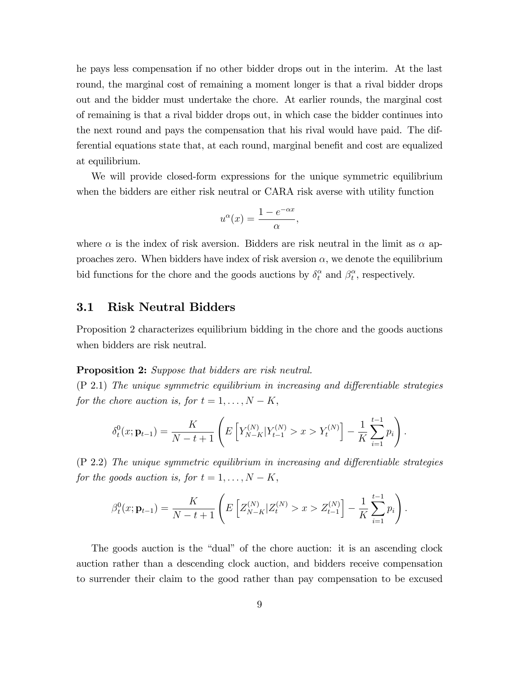he pays less compensation if no other bidder drops out in the interim. At the last round, the marginal cost of remaining a moment longer is that a rival bidder drops out and the bidder must undertake the chore. At earlier rounds, the marginal cost of remaining is that a rival bidder drops out, in which case the bidder continues into the next round and pays the compensation that his rival would have paid. The differential equations state that, at each round, marginal benefit and cost are equalized at equilibrium.

We will provide closed-form expressions for the unique symmetric equilibrium when the bidders are either risk neutral or CARA risk averse with utility function

$$
u^{\alpha}(x) = \frac{1 - e^{-\alpha x}}{\alpha},
$$

where  $\alpha$  is the index of risk aversion. Bidders are risk neutral in the limit as  $\alpha$  approaches zero. When bidders have index of risk aversion  $\alpha$ , we denote the equilibrium bid functions for the chore and the goods auctions by  $\delta_t^{\alpha}$  and  $\beta_t^{\alpha}$  $t<sup>\alpha</sup>$ , respectively.

## 3.1 Risk Neutral Bidders

Proposition 2 characterizes equilibrium bidding in the chore and the goods auctions when bidders are risk neutral.

#### **Proposition 2:** Suppose that bidders are risk neutral.

 $(P\ 2.1)$  The unique symmetric equilibrium in increasing and differentiable strategies for the chore auction is, for  $t = 1, \ldots, N - K$ ,

$$
\delta_t^0(x; \mathbf{p}_{t-1}) = \frac{K}{N-t+1} \left( E \left[ Y_{N-K}^{(N)} | Y_{t-1}^{(N)} > x > Y_t^{(N)} \right] - \frac{1}{K} \sum_{i=1}^{t-1} p_i \right).
$$

 $(P\ 2.2)$  The unique symmetric equilibrium in increasing and differentiable strategies for the goods auction is, for  $t = 1, \ldots, N - K$ ,

$$
\beta_t^0(x; \mathbf{p}_{t-1}) = \frac{K}{N-t+1} \left( E\left[ Z_{N-K}^{(N)} | Z_t^{(N)} > x > Z_{t-1}^{(N)} \right] - \frac{1}{K} \sum_{i=1}^{t-1} p_i \right).
$$

The goods auction is the "dual" of the chore auction: it is an ascending clock auction rather than a descending clock auction, and bidders receive compensation to surrender their claim to the good rather than pay compensation to be excused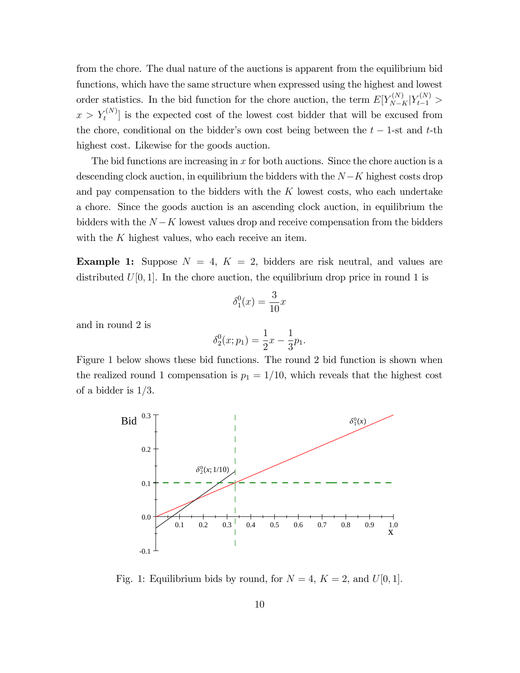from the chore. The dual nature of the auctions is apparent from the equilibrium bid functions, which have the same structure when expressed using the highest and lowest order statistics. In the bid function for the chore auction, the term  $E[Y_{N-K}^{(N)}|Y_{t-1}^{(N)}]$  $x > Y_t^{(N)}$  is the expected cost of the lowest cost bidder that will be excused from the chore, conditional on the bidder's own cost being between the  $t - 1$ -st and t-th highest cost. Likewise for the goods auction.

The bid functions are increasing in x for both auctions. Since the chore auction is a descending clock auction, in equilibrium the bidders with the  $N-K$  highest costs drop and pay compensation to the bidders with the  $K$  lowest costs, who each undertake a chore. Since the goods auction is an ascending clock auction, in equilibrium the bidders with the  $N - K$  lowest values drop and receive compensation from the bidders with the K highest values, who each receive an item.

**Example 1:** Suppose  $N = 4$ ,  $K = 2$ , bidders are risk neutral, and values are distributed  $U[0, 1]$ . In the chore auction, the equilibrium drop price in round 1 is

$$
\delta_1^0(x) = \frac{3}{10}x
$$

and in round 2 is

$$
\delta_2^0(x; p_1) = \frac{1}{2}x - \frac{1}{3}p_1.
$$

Figure 1 below shows these bid functions. The round 2 bid function is shown when the realized round 1 compensation is  $p_1 = 1/10$ , which reveals that the highest cost of a bidder is  $1/3$ .



Fig. 1: Equilibrium bids by round, for  $N = 4$ ,  $K = 2$ , and  $U[0, 1]$ .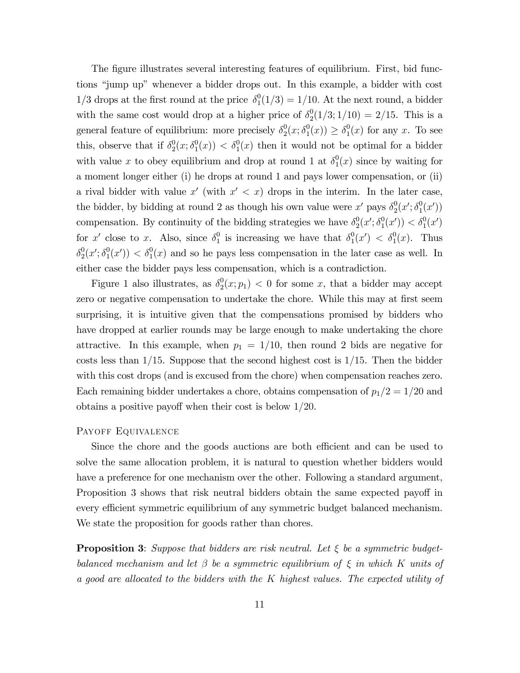The figure illustrates several interesting features of equilibrium. First, bid functions "jump up" whenever a bidder drops out. In this example, a bidder with cost  $1/3$  drops at the first round at the price  $\delta_1^0$  $_1^0(1/3) = 1/10$ . At the next round, a bidder with the same cost would drop at a higher price of  $\delta_2^0$  $2(1/3; 1/10) = 2/15$ . This is a general feature of equilibrium: more precisely  $\delta_2^0$  $\frac{0}{2}(x;\delta_1^0$  $_1^0(x)$   $\geq \delta_1^0$  $_{1}^{0}(x)$  for any x. To see this, observe that if  $\delta_2^0$  $^{0}_{2}(x;\delta^{0}_{1}% ,\delta^{0}_{2})=(\delta^{0}_{1}+\delta^{0}_{2})^{\prime}(x;\delta^{0}_{1}% ,\delta^{0}_{1})$  $\delta_1^0(x)$   $\langle \delta_1^0(x) \rangle$  then it would not be optimal for a bidder with value x to obey equilibrium and drop at round 1 at  $\delta_1^0$  $_1^0(x)$  since by waiting for a moment longer either (i) he drops at round 1 and pays lower compensation, or (ii) a rival bidder with value x' (with  $x' < x$ ) drops in the interim. In the later case, the bidder, by bidding at round 2 as though his own value were  $x'$  pays  $\delta_2^0$  $^{0}_{2}(x';\delta^{0}_{1})$  $_{1}^{0}(x')$ compensation. By continuity of the bidding strategies we have  $\delta_2^0$  $^{0}_{2}(x';\delta^{0}_{1}% ,\delta^{0}_{2})=(\delta_{\alpha\beta}^{0}(x;\delta^{0}_{1})^{\alpha\beta})^{\alpha\beta}$  $\delta_1^0(x')$   $< \delta_1^0(x')$ for x' close to x. Also, since  $\delta_1^0$  $_1^0$  is increasing we have that  $\delta_1^0$  $_1^0(x') < \delta_1^0(x)$ . Thus  $\delta_2^0$  $^{0}_{2}(x';\delta^{0}_{1})$  $\binom{0}{1}(x') < \delta_1^0(x)$  and so he pays less compensation in the later case as well. In either case the bidder pays less compensation, which is a contradiction.

Figure 1 also illustrates, as  $\delta_2^0$  $2(x; p_1) < 0$  for some x, that a bidder may accept zero or negative compensation to undertake the chore. While this may at first seem surprising, it is intuitive given that the compensations promised by bidders who have dropped at earlier rounds may be large enough to make undertaking the chore attractive. In this example, when  $p_1 = 1/10$ , then round 2 bids are negative for costs less than  $1/15$ . Suppose that the second highest cost is  $1/15$ . Then the bidder with this cost drops (and is excused from the chore) when compensation reaches zero. Each remaining bidder undertakes a chore, obtains compensation of  $p_1/2 = 1/20$  and obtains a positive payoff when their cost is below  $1/20$ .

#### Payoff Equivalence

Since the chore and the goods auctions are both efficient and can be used to solve the same allocation problem, it is natural to question whether bidders would have a preference for one mechanism over the other. Following a standard argument, Proposition 3 shows that risk neutral bidders obtain the same expected payoff in every efficient symmetric equilibrium of any symmetric budget balanced mechanism. We state the proposition for goods rather than chores.

**Proposition 3:** Suppose that bidders are risk neutral. Let  $\xi$  be a symmetric budgetbalanced mechanism and let  $\beta$  be a symmetric equilibrium of  $\xi$  in which K units of a good are allocated to the bidders with the K highest values. The expected utility of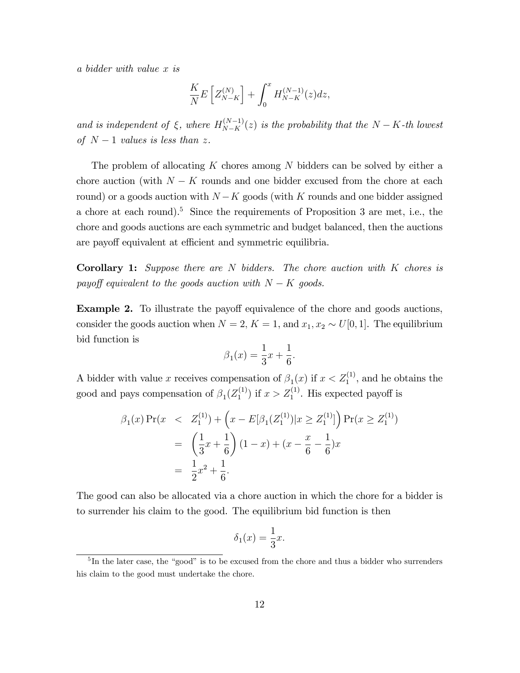a bidder with value x is

$$
\frac{K}{N}E\left[Z_{N-K}^{(N)}\right]+\int_0^xH_{N-K}^{(N-1)}(z)dz,
$$

and is independent of  $\xi$ , where  $H_{N-K}^{(N-1)}(z)$  is the probability that the  $N-K$ -th lowest of  $N-1$  values is less than z.

The problem of allocating  $K$  chores among  $N$  bidders can be solved by either a chore auction (with  $N - K$  rounds and one bidder excused from the chore at each round) or a goods auction with  $N - K$  goods (with K rounds and one bidder assigned a chore at each round).<sup>5</sup> Since the requirements of Proposition 3 are met, i.e., the chore and goods auctions are each symmetric and budget balanced, then the auctions are payoff equivalent at efficient and symmetric equilibria.

**Corollary 1:** Suppose there are N bidders. The chore auction with K chores is payoff equivalent to the goods auction with  $N - K$  goods.

**Example 2.** To illustrate the payoff equivalence of the chore and goods auctions, consider the goods auction when  $N = 2$ ,  $K = 1$ , and  $x_1, x_2 \sim U[0, 1]$ . The equilibrium bid function is

$$
\beta_1(x) = \frac{1}{3}x + \frac{1}{6}.
$$

A bidder with value x receives compensation of  $\beta_1(x)$  if  $x < Z_1^{(1)}$ , and he obtains the good and pays compensation of  $\beta_1(Z_1^{(1)})$  $\binom{1}{1}$  if  $x > Z_1^{(1)}$ . His expected payoff is

$$
\beta_1(x) \Pr(x \le Z_1^{(1)}) + \left(x - E[\beta_1(Z_1^{(1)}) | x \ge Z_1^{(1)}]\right) \Pr(x \ge Z_1^{(1)})
$$
  
=  $\left(\frac{1}{3}x + \frac{1}{6}\right)(1 - x) + (x - \frac{x}{6} - \frac{1}{6})x$   
=  $\frac{1}{2}x^2 + \frac{1}{6}$ .

The good can also be allocated via a chore auction in which the chore for a bidder is to surrender his claim to the good. The equilibrium bid function is then

$$
\delta_1(x) = \frac{1}{3}x.
$$

 ${}^{5}$ In the later case, the "good" is to be excused from the chore and thus a bidder who surrenders his claim to the good must undertake the chore.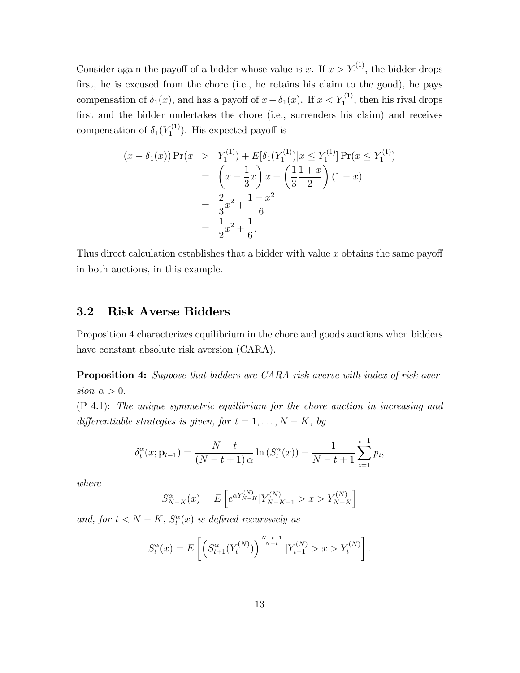Consider again the payoff of a bidder whose value is x. If  $x > Y_1^{(1)}$ , the bidder drops first, he is excused from the chore (i.e., he retains his claim to the good), he pays compensation of  $\delta_1(x)$ , and has a payoff of  $x - \delta_1(x)$ . If  $x < Y_1^{(1)}$ , then his rival drops first and the bidder undertakes the chore (i.e., surrenders his claim) and receives compensation of  $\delta_1(Y_1^{(1)}$  $\binom{1}{1}$ . His expected payoff is

$$
(x - \delta_1(x)) \Pr(x > Y_1^{(1)}) + E[\delta_1(Y_1^{(1)})|x \le Y_1^{(1)}] \Pr(x \le Y_1^{(1)})
$$
  
=  $\left(x - \frac{1}{3}x\right) x + \left(\frac{1}{3} \frac{1+x}{2}\right) (1-x)$   
=  $\frac{2}{3}x^2 + \frac{1-x^2}{6}$   
=  $\frac{1}{2}x^2 + \frac{1}{6}$ .

Thus direct calculation establishes that a bidder with value  $x$  obtains the same payoff in both auctions, in this example.

## 3.2 Risk Averse Bidders

Proposition 4 characterizes equilibrium in the chore and goods auctions when bidders have constant absolute risk aversion (CARA).

**Proposition 4:** Suppose that bidders are CARA risk averse with index of risk aversion  $\alpha > 0$ .

(P 4.1): The unique symmetric equilibrium for the chore auction in increasing and differentiable strategies is given, for  $t = 1, \ldots, N - K$ , by

$$
\delta_t^{\alpha}(x; \mathbf{p}_{t-1}) = \frac{N-t}{(N-t+1)\alpha} \ln \left( S_t^{\alpha}(x) \right) - \frac{1}{N-t+1} \sum_{i=1}^{t-1} p_i,
$$

where

$$
S_{N-K}^{\alpha}(x) = E\left[e^{\alpha Y_{N-K}^{(N)}} | Y_{N-K-1}^{(N)} > x > Y_{N-K}^{(N)}\right]
$$

and, for  $t < N - K$ ,  $S_t^{\alpha}(x)$  is defined recursively as

$$
S_t^{\alpha}(x) = E\left[\left(S_{t+1}^{\alpha}(Y_t^{(N)})\right)^{\frac{N-t-1}{N-t}} | Y_{t-1}^{(N)} > x > Y_t^{(N)}\right].
$$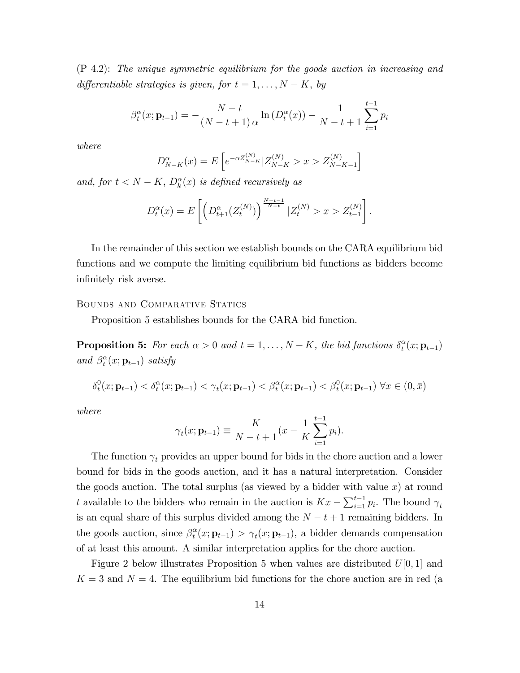(P 4.2): The unique symmetric equilibrium for the goods auction in increasing and differentiable strategies is given, for  $t = 1, \ldots, N - K$ , by

$$
\beta_t^{\alpha}(x; \mathbf{p}_{t-1}) = -\frac{N-t}{(N-t+1)\alpha} \ln(D_t^{\alpha}(x)) - \frac{1}{N-t+1} \sum_{i=1}^{t-1} p_i
$$

where

$$
D_{N-K}^{\alpha}(x) = E\left[e^{-\alpha Z_{N-K}^{(N)}} | Z_{N-K}^{(N)} > x > Z_{N-K-1}^{(N)}\right]
$$

and, for  $t < N - K$ ,  $D_k^{\alpha}(x)$  is defined recursively as

$$
D_t^{\alpha}(x) = E\left[ \left( D_{t+1}^{\alpha}(Z_t^{(N)}) \right)^{\frac{N-t-1}{N-t}} | Z_t^{(N)} > x > Z_{t-1}^{(N)} \right].
$$

In the remainder of this section we establish bounds on the CARA equilibrium bid functions and we compute the limiting equilibrium bid functions as bidders become infinitely risk averse.

### Bounds and Comparative Statics

Proposition 5 establishes bounds for the CARA bid function.

**Proposition 5:** For each  $\alpha > 0$  and  $t = 1, ..., N - K$ , the bid functions  $\delta_t^{\alpha}$  $_t^\alpha(x;{\bf p}_{t-1})$ and  $\beta_t^{\alpha}$  $_t^{\alpha}(x;{\bf p}_{t-1})$  satisfy

$$
\delta_t^0(x; \mathbf{p}_{t-1}) < \delta_t^\alpha(x; \mathbf{p}_{t-1}) < \gamma_t(x; \mathbf{p}_{t-1}) < \beta_t^\alpha(x; \mathbf{p}_{t-1}) < \beta_t^0(x; \mathbf{p}_{t-1}) \,\,\forall x \in (0, \bar{x})
$$

where

$$
\gamma_t(x; \mathbf{p}_{t-1}) \equiv \frac{K}{N-t+1} (x - \frac{1}{K} \sum_{i=1}^{t-1} p_i).
$$

The function  $\gamma_t$  provides an upper bound for bids in the chore auction and a lower bound for bids in the goods auction, and it has a natural interpretation. Consider the goods auction. The total surplus (as viewed by a bidder with value  $x$ ) at round t available to the bidders who remain in the auction is  $Kx - \sum_{i=1}^{t-1} p_i$ . The bound  $\gamma_t$ is an equal share of this surplus divided among the  $N - t + 1$  remaining bidders. In the goods auction, since  $\beta_t^{\alpha}$  $t_t^{\alpha}(x; \mathbf{p}_{t-1}) > \gamma_t(x; \mathbf{p}_{t-1}),$  a bidder demands compensation of at least this amount. A similar interpretation applies for the chore auction.

Figure 2 below illustrates Proposition 5 when values are distributed  $U[0, 1]$  and  $K = 3$  and  $N = 4$ . The equilibrium bid functions for the chore auction are in red (a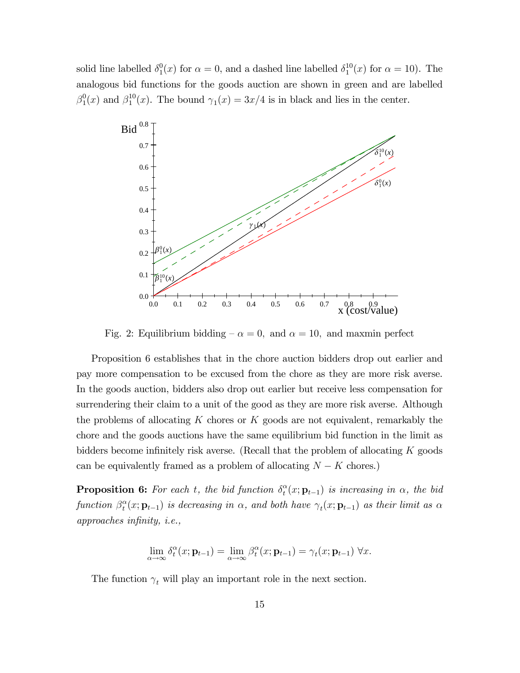solid line labelled  $\delta_1^0$  $_1^0(x)$  for  $\alpha = 0$ , and a dashed line labelled  $\delta_1^{10}$  $_{1}^{10}(x)$  for  $\alpha = 10$ ). The analogous bid functions for the goods auction are shown in green and are labelled  $\beta_1^0$  $_1^0(x)$  and  $\beta_1^{10}$  $_1^{10}(x)$ . The bound  $\gamma_1(x) = 3x/4$  is in black and lies in the center.



Fig. 2: Equilibrium bidding  $-\alpha = 0$ , and  $\alpha = 10$ , and maxmin perfect

Proposition 6 establishes that in the chore auction bidders drop out earlier and pay more compensation to be excused from the chore as they are more risk averse. In the goods auction, bidders also drop out earlier but receive less compensation for surrendering their claim to a unit of the good as they are more risk averse. Although the problems of allocating  $K$  chores or  $K$  goods are not equivalent, remarkably the chore and the goods auctions have the same equilibrium bid function in the limit as bidders become infinitely risk averse. (Recall that the problem of allocating  $K$  goods can be equivalently framed as a problem of allocating  $N - K$  chores.)

**Proposition 6:** For each t, the bid function  $\delta_t^{\alpha}$  $t^{\alpha}(x;{\bf p}_{t-1})$  is increasing in  $\alpha$ , the bid function  $\beta_t^{\alpha}$  $t^{\alpha}(x; \mathbf{p}_{t-1})$  is decreasing in  $\alpha$ , and both have  $\gamma_t(x; \mathbf{p}_{t-1})$  as their limit as  $\alpha$  $approaches$  infinity, i.e.,

$$
\lim_{\alpha \to \infty} \delta_t^{\alpha}(x; \mathbf{p}_{t-1}) = \lim_{\alpha \to \infty} \beta_t^{\alpha}(x; \mathbf{p}_{t-1}) = \gamma_t(x; \mathbf{p}_{t-1}) \ \forall x.
$$

The function  $\gamma_t$  will play an important role in the next section.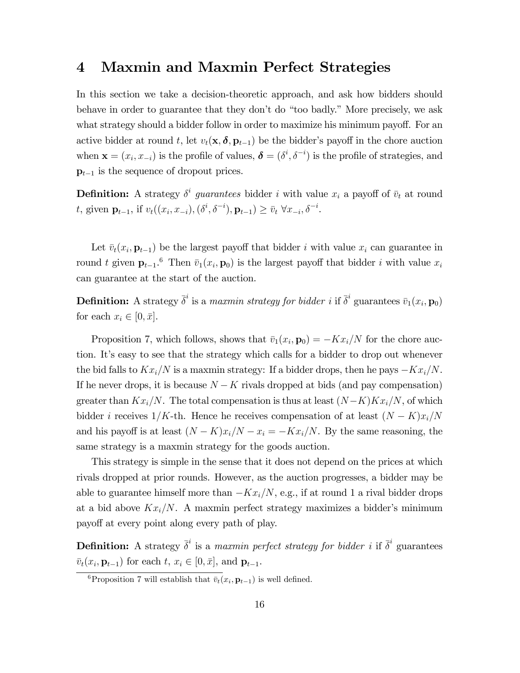# 4 Maxmin and Maxmin Perfect Strategies

In this section we take a decision-theoretic approach, and ask how bidders should behave in order to guarantee that they don't do "too badly." More precisely, we ask what strategy should a bidder follow in order to maximize his minimum payoff. For an active bidder at round t, let  $v_t(\mathbf{x}, \delta, \mathbf{p}_{t-1})$  be the bidder's payoff in the chore auction when  $\mathbf{x} = (x_i, x_{-i})$  is the profile of values,  $\boldsymbol{\delta} = (\delta^i, \delta^{-i})$  is the profile of strategies, and  $p_{t-1}$  is the sequence of dropout prices.

**Definition:** A strategy  $\delta^i$  guarantees bidder i with value  $x_i$  a payoff of  $\bar{v}_t$  at round t, given  $\mathbf{p}_{t-1}$ , if  $v_t((x_i, x_{-i}), (\delta^i, \delta^{-i}), \mathbf{p}_{t-1}) \ge \bar{v}_t \ \forall x_{-i}, \delta^{-i}$ .

Let  $\bar{v}_t(x_i, \mathbf{p}_{t-1})$  be the largest payoff that bidder i with value  $x_i$  can guarantee in round t given  $\mathbf{p}_{t-1}$ <sup>6</sup> Then  $\bar{v}_1(x_i, \mathbf{p}_0)$  is the largest payoff that bidder i with value  $x_i$ can guarantee at the start of the auction.

**Definition:** A strategy  $\bar{\delta}^i$  is a maxmin strategy for bidder i if  $\bar{\delta}^i$  guarantees  $\bar{v}_1(x_i, \mathbf{p}_0)$ for each  $x_i \in [0, \bar{x}].$ 

Proposition 7, which follows, shows that  $\bar{v}_1(x_i, \mathbf{p}_0) = -Kx_i/N$  for the chore auction. Itís easy to see that the strategy which calls for a bidder to drop out whenever the bid falls to  $Kx_i/N$  is a maxmin strategy: If a bidder drops, then he pays  $-Kx_i/N$ . If he never drops, it is because  $N - K$  rivals dropped at bids (and pay compensation) greater than  $Kx_i/N$ . The total compensation is thus at least  $(N-K)Kx_i/N$ , of which bidder i receives  $1/K$ -th. Hence he receives compensation of at least  $(N - K)x_i/N$ and his payoff is at least  $(N - K)x_i/N - x_i = -Kx_i/N$ . By the same reasoning, the same strategy is a maxmin strategy for the goods auction.

This strategy is simple in the sense that it does not depend on the prices at which rivals dropped at prior rounds. However, as the auction progresses, a bidder may be able to guarantee himself more than  $-Kx_i/N$ , e.g., if at round 1 a rival bidder drops at a bid above  $Kx_i/N$ . A maxmin perfect strategy maximizes a bidder's minimum payoff at every point along every path of play.

**Definition:** A strategy  $\bar{\delta}^i$  is a maxmin perfect strategy for bidder i if  $\bar{\delta}^i$  guarantees  $\bar{v}_t(x_i, \mathbf{p}_{t-1})$  for each  $t, x_i \in [0, \bar{x}],$  and  $\mathbf{p}_{t-1}$ .

<sup>&</sup>lt;sup>6</sup>Proposition 7 will establish that  $\bar{v}_t(x_i, \mathbf{p}_{t-1})$  is well defined.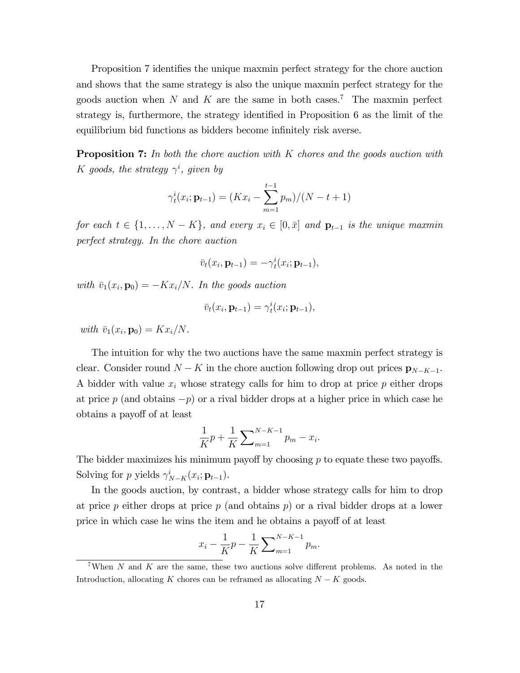Proposition 7 identifies the unique maxmin perfect strategy for the chore auction and shows that the same strategy is also the unique maxmin perfect strategy for the goods auction when N and K are the same in both cases.<sup>7</sup> The maxmin perfect strategy is, furthermore, the strategy identified in Proposition  $6$  as the limit of the equilibrium bid functions as bidders become infinitely risk averse.

**Proposition 7:** In both the chore auction with K chores and the goods auction with K goods, the strategy  $\gamma^i$ , given by

$$
\gamma_t^i(x_i; \mathbf{p}_{t-1}) = (Kx_i - \sum_{m=1}^{t-1} p_m)/(N - t + 1)
$$

for each  $t \in \{1, ..., N - K\}$ , and every  $x_i \in [0, \bar{x}]$  and  $\mathbf{p}_{t-1}$  is the unique maxmin perfect strategy. In the chore auction

$$
\bar{v}_t(x_i, \mathbf{p}_{t-1}) = -\gamma_t^i(x_i; \mathbf{p}_{t-1}),
$$

with  $\bar{v}_1(x_i, \mathbf{p}_0) = -Kx_i/N$ . In the goods auction

$$
\bar{v}_t(x_i, \mathbf{p}_{t-1}) = \gamma_t^i(x_i; \mathbf{p}_{t-1}),
$$

with  $\bar{v}_1(x_i, \mathbf{p}_0) = Kx_i/N$ .

The intuition for why the two auctions have the same maxmin perfect strategy is clear. Consider round  $N - K$  in the chore auction following drop out prices  $\mathbf{p}_{N-K-1}$ . A bidder with value  $x_i$  whose strategy calls for him to drop at price  $p$  either drops at price p (and obtains  $-p$ ) or a rival bidder drops at a higher price in which case he obtains a payoff of at least

$$
\frac{1}{K}p + \frac{1}{K} \sum_{m=1}^{N-K-1} p_m - x_i.
$$

The bidder maximizes his minimum payoff by choosing  $p$  to equate these two payoffs. Solving for p yields  $\gamma_{N-K}^i(x_i; \mathbf{p}_{t-1}).$ 

In the goods auction, by contrast, a bidder whose strategy calls for him to drop at price p either drops at price p (and obtains  $p$ ) or a rival bidder drops at a lower price in which case he wins the item and he obtains a payoff of at least

$$
x_i - \frac{1}{K}p - \frac{1}{K} \sum_{m=1}^{N-K-1} p_m.
$$

<sup>&</sup>lt;sup>7</sup>When N and K are the same, these two auctions solve different problems. As noted in the Introduction, allocating K chores can be reframed as allocating  $N - K$  goods.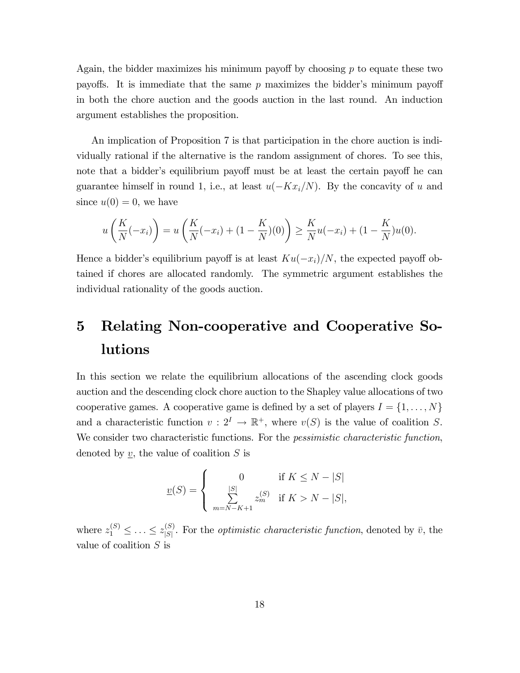Again, the bidder maximizes his minimum payoff by choosing  $p$  to equate these two payoffs. It is immediate that the same  $p$  maximizes the bidder's minimum payoff in both the chore auction and the goods auction in the last round. An induction argument establishes the proposition.

An implication of Proposition 7 is that participation in the chore auction is individually rational if the alternative is the random assignment of chores. To see this, note that a bidder's equilibrium payoff must be at least the certain payoff he can guarantee himself in round 1, i.e., at least  $u(-Kx_i/N)$ . By the concavity of u and since  $u(0) = 0$ , we have

$$
u\left(\frac{K}{N}(-x_i)\right) = u\left(\frac{K}{N}(-x_i) + (1 - \frac{K}{N})(0)\right) \ge \frac{K}{N}u(-x_i) + (1 - \frac{K}{N})u(0).
$$

Hence a bidder's equilibrium payoff is at least  $Ku(-x_i)/N$ , the expected payoff obtained if chores are allocated randomly. The symmetric argument establishes the individual rationality of the goods auction.

# 5 Relating Non-cooperative and Cooperative Solutions

In this section we relate the equilibrium allocations of the ascending clock goods auction and the descending clock chore auction to the Shapley value allocations of two cooperative games. A cooperative game is defined by a set of players  $I = \{1, \ldots, N\}$ and a characteristic function  $v: 2^I \to \mathbb{R}^+$ , where  $v(S)$  is the value of coalition S. We consider two characteristic functions. For the *pessimistic characteristic function*, denoted by  $v$ , the value of coalition  $S$  is

$$
\underline{v}(S) = \begin{cases} 0 & \text{if } K \le N - |S| \\ \sum_{m=N-K+1}^{|S|} z_m^{(S)} & \text{if } K > N - |S|, \end{cases}
$$

where  $z_1^{(S)} \leq \ldots \leq z_{|S|}^{(S)}$  $\binom{S}{|S|}$ . For the *optimistic characteristic function*, denoted by  $\bar{v}$ , the value of coalition S is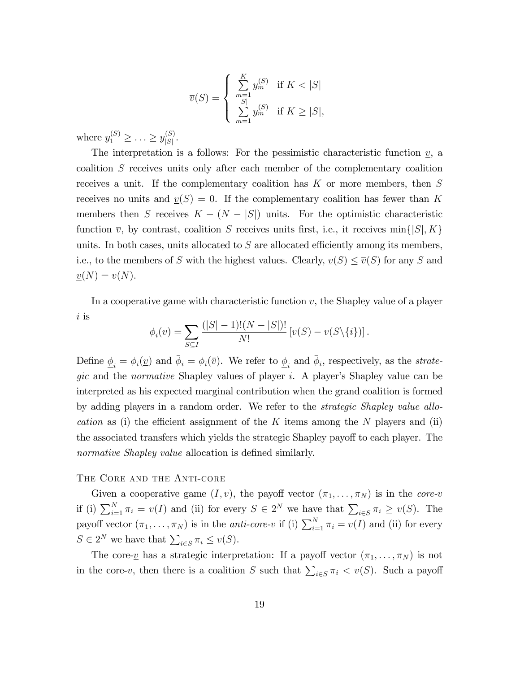$$
\overline{v}(S) = \begin{cases} \sum_{m=1}^{K} y_m^{(S)} & \text{if } K < |S| \\ \sum_{m=1}^{|S|} y_m^{(S)} & \text{if } K \ge |S|, \end{cases}
$$

where  $y_1^{(S)} \ge ... \ge y_{|S|}^{(S)}$  $\frac{S}{|S|}$ .

The interpretation is a follows: For the pessimistic characteristic function  $\underline{v}$ , a coalition S receives units only after each member of the complementary coalition receives a unit. If the complementary coalition has  $K$  or more members, then  $S$ receives no units and  $\underline{v}(S) = 0$ . If the complementary coalition has fewer than K members then S receives  $K - (N - |S|)$  units. For the optimistic characteristic function  $\overline{v}$ , by contrast, coalition S receives units first, i.e., it receives min $\{ |S|, K \}$ units. In both cases, units allocated to  $S$  are allocated efficiently among its members, i.e., to the members of S with the highest values. Clearly,  $\underline{v}(S) \le \overline{v}(S)$  for any S and  $\underline{v}(N) = \overline{v}(N).$ 

In a cooperative game with characteristic function  $v$ , the Shapley value of a player i is

$$
\phi_i(v) = \sum_{S \subseteq I} \frac{(|S| - 1)!(N - |S|)!}{N!} [v(S) - v(S\setminus\{i\})].
$$

Define  $\underline{\phi}_i = \phi_i(\underline{v})$  and  $\overline{\phi}_i = \phi_i(\overline{v})$ . We refer to  $\underline{\phi}_i$  and  $\overline{\phi}_i$ , respectively, as the *strate*gic and the *normative* Shapley values of player i. A player's Shapley value can be interpreted as his expected marginal contribution when the grand coalition is formed by adding players in a random order. We refer to the strategic Shapley value allocation as (i) the efficient assignment of the K items among the N players and (ii) the associated transfers which yields the strategic Shapley payoff to each player. The normative Shapley value allocation is defined similarly.

## The Core and the Anti-core

Given a cooperative game  $(I, v)$ , the payoff vector  $(\pi_1, \ldots, \pi_N)$  is in the *core-v* if (i)  $\sum_{i=1}^{N} \pi_i = v(I)$  and (ii) for every  $S \in 2^N$  we have that  $\sum_{i \in S} \pi_i \ge v(S)$ . The payoff vector  $(\pi_1, \ldots, \pi_N)$  is in the *anti-core-v* if (i)  $\sum_{i=1}^N \pi_i = v(I)$  and (ii) for every  $S \in 2^N$  we have that  $\sum_{i \in S} \pi_i \le v(S)$ .

The core- $\underline{v}$  has a strategic interpretation: If a payoff vector  $(\pi_1, \ldots, \pi_N)$  is not in the core-<u>v</u>, then there is a coalition S such that  $\sum_{i\in S}\pi_i < v(S)$ . Such a payoff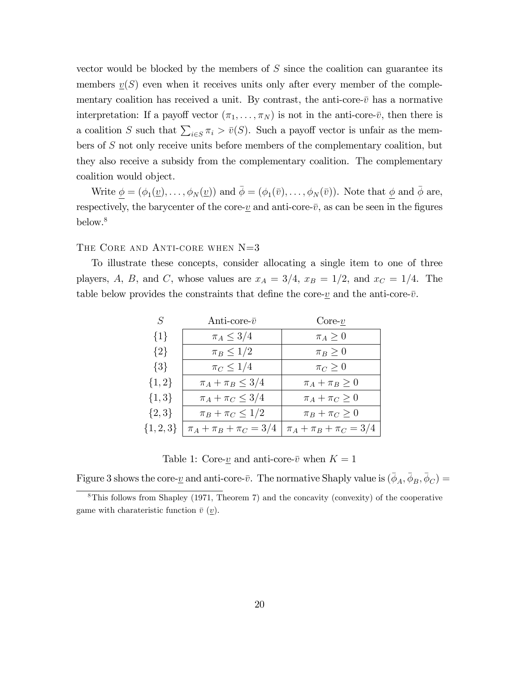vector would be blocked by the members of  $S$  since the coalition can guarantee its members  $v(S)$  even when it receives units only after every member of the complementary coalition has received a unit. By contrast, the anti-core- $\bar{v}$  has a normative interpretation: If a payoff vector  $(\pi_1, \ldots, \pi_N)$  is not in the anti-core- $\bar{v}$ , then there is a coalition S such that  $\sum_{i\in S} \pi_i > \bar{v}(S)$ . Such a payoff vector is unfair as the members of S not only receive units before members of the complementary coalition, but they also receive a subsidy from the complementary coalition. The complementary coalition would object.

Write  $\underline{\phi} = (\phi_1(\underline{v}), \dots, \phi_N(\underline{v}))$  and  $\overline{\phi} = (\phi_1(\overline{v}), \dots, \phi_N(\overline{v}))$ . Note that  $\underline{\phi}$  and  $\overline{\phi}$  are, respectively, the barycenter of the core- $\underline{v}$  and anti-core- $\overline{v}$ , as can be seen in the figures below.<sup>8</sup>

## THE CORE AND ANTI-CORE WHEN N=3

To illustrate these concepts, consider allocating a single item to one of three players, A, B, and C, whose values are  $x_A = 3/4$ ,  $x_B = 1/2$ , and  $x_C = 1/4$ . The table below provides the constraints that define the core- $\underline{v}$  and the anti-core- $\overline{v}$ .

| $S_{-}$       | Anti-core- $\bar{v}$          | $Core-v$                      |
|---------------|-------------------------------|-------------------------------|
| ${1}$         | $\pi_A \leq 3/4$              | $\pi_A \geq 0$                |
| $\{2\}$       | $\pi_B \leq 1/2$              | $\pi_B \geq 0$                |
| $\{3\}$       | $\pi_C \leq 1/4$              | $\pi_C \geq 0$                |
| $\{1,2\}$     | $\pi_A + \pi_B \leq 3/4$      | $\pi_A + \pi_B \geq 0$        |
| $\{1,3\}$     | $\pi_A + \pi_C \leq 3/4$      | $\pi_A + \pi_C \geq 0$        |
| $\{2,3\}$     | $\pi_B + \pi_C \leq 1/2$      | $\pi_B + \pi_C \geq 0$        |
| $\{1, 2, 3\}$ | $\pi_A + \pi_B + \pi_C = 3/4$ | $\pi_A + \pi_B + \pi_C = 3/4$ |

Table 1: Core- $\underline{v}$  and anti-core- $\overline{v}$  when  $K = 1$ 

Figure 3 shows the core- $\underline{v}$  and anti-core- $\overline{v}$ . The normative Shaply value is  $(\overline{\phi}_A, \overline{\phi}_B, \overline{\phi}_C)$  =

<sup>8</sup>This follows from Shapley (1971, Theorem 7) and the concavity (convexity) of the cooperative game with charateristic function  $\bar{v}$  (*v*).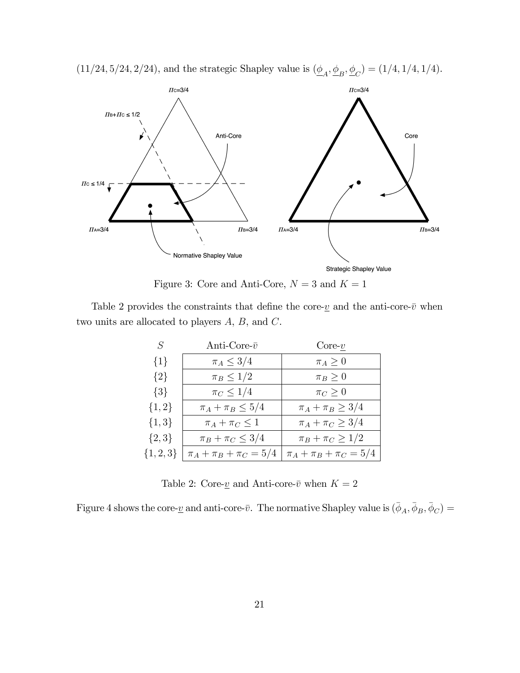

 $(11/24, 5/24, 2/24)$ , and the strategic Shapley value is  $(\underline{\phi}_A, \underline{\phi}_B, \underline{\phi}_C) = (1/4, 1/4, 1/4)$ .

Figure 3: Core and Anti-Core,  $N = 3$  and  $K = 1$ 

Table 2 provides the constraints that define the core- $\underline{v}$  and the anti-core- $\overline{v}$  when two units are allocated to players A, B, and C.

| $\pi_A \leq 3/4$<br>${1}$<br>$\pi_A \geq 0$<br>$\pi_B \leq 1/2$<br>$\{2\}$<br>$\pi_B \geq 0$<br>$\pi_C \leq 1/4$<br>$\{3\}$<br>$\pi_C \geq 0$<br>$\{1,2\}$<br>$\pi_A + \pi_B \leq 5/4$<br>$\pi_A + \pi_B \geq 3/4$ | $S_{-}$   | Anti-Core- $\bar{v}$   | $Core-v$                 |
|--------------------------------------------------------------------------------------------------------------------------------------------------------------------------------------------------------------------|-----------|------------------------|--------------------------|
|                                                                                                                                                                                                                    |           |                        |                          |
|                                                                                                                                                                                                                    |           |                        |                          |
|                                                                                                                                                                                                                    |           |                        |                          |
|                                                                                                                                                                                                                    |           |                        |                          |
|                                                                                                                                                                                                                    | $\{1,3\}$ | $\pi_A + \pi_C \leq 1$ | $\pi_A + \pi_C \geq 3/4$ |
| $\{2,3\}$<br>$\pi_B + \pi_C \leq 3/4$<br>$\pi_B + \pi_C \geq 1/2$                                                                                                                                                  |           |                        |                          |
| $\{1, 2, 3\}$<br>$\pi_A + \pi_B + \pi_C = 5/4$<br>$\pi_A + \pi_B + \pi_C = 5/4$                                                                                                                                    |           |                        |                          |

Table 2: Core- $\underline{v}$  and Anti-core- $\overline{v}$  when  $K=2$ 

Figure 4 shows the core- $\underline{v}$  and anti-core- $\overline{v}$ . The normative Shapley value is  $(\overline{\phi}_A, \overline{\phi}_B, \overline{\phi}_C)$  =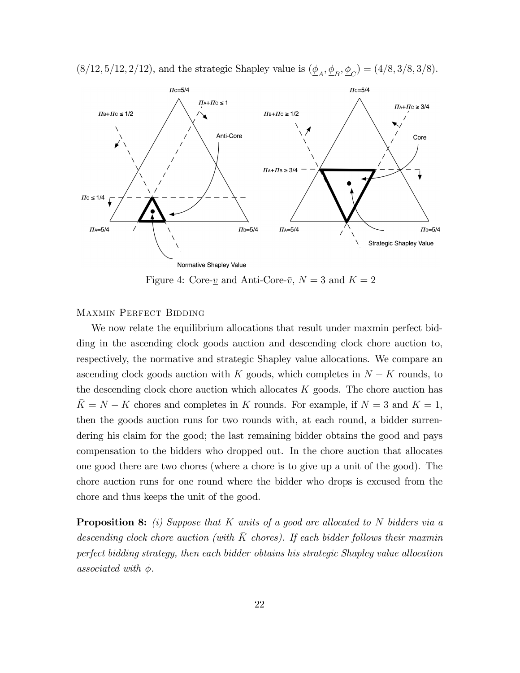

 $(8/12, 5/12, 2/12)$ , and the strategic Shapley value is  $(\underline{\phi}_A, \underline{\phi}_B, \underline{\phi}_C) = (4/8, 3/8, 3/8)$ .

Figure 4: Core- $\underline{v}$  and Anti-Core- $\overline{v}$ ,  $N = 3$  and  $K = 2$ 

## Maxmin Perfect Bidding

We now relate the equilibrium allocations that result under maxmin perfect bidding in the ascending clock goods auction and descending clock chore auction to, respectively, the normative and strategic Shapley value allocations. We compare an ascending clock goods auction with K goods, which completes in  $N - K$  rounds, to the descending clock chore auction which allocates  $K$  goods. The chore auction has  $\overline{K} = N - K$  chores and completes in K rounds. For example, if  $N = 3$  and  $K = 1$ , then the goods auction runs for two rounds with, at each round, a bidder surrendering his claim for the good; the last remaining bidder obtains the good and pays compensation to the bidders who dropped out. In the chore auction that allocates one good there are two chores (where a chore is to give up a unit of the good). The chore auction runs for one round where the bidder who drops is excused from the chore and thus keeps the unit of the good.

**Proposition 8:** (i) Suppose that K units of a good are allocated to N bidders via a descending clock chore auction (with  $\bar{K}$  chores). If each bidder follows their maxmin perfect bidding strategy, then each bidder obtains his strategic Shapley value allocation associated with  $\phi$ .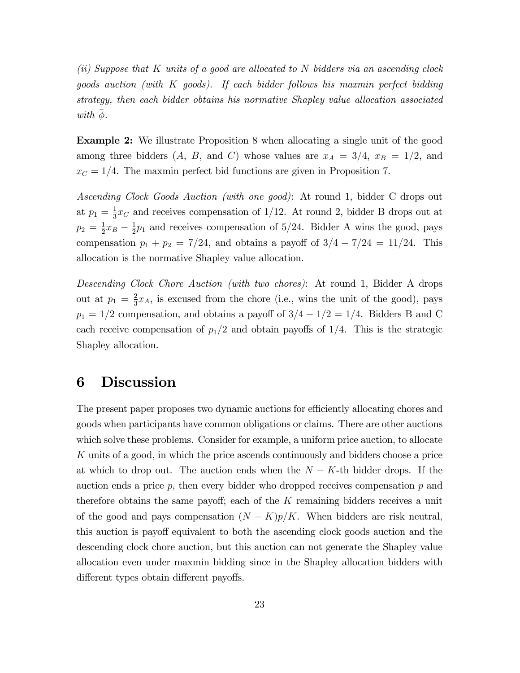(ii) Suppose that K units of a good are allocated to N bidders via an ascending clock goods auction (with K goods). If each bidder follows his maxmin perfect bidding strategy, then each bidder obtains his normative Shapley value allocation associated with  $\phi$ .

Example 2: We illustrate Proposition 8 when allocating a single unit of the good among three bidders  $(A, B, \text{ and } C)$  whose values are  $x_A = 3/4$ ,  $x_B = 1/2$ , and  $x_C = 1/4$ . The maxmin perfect bid functions are given in Proposition 7.

Ascending Clock Goods Auction (with one good): At round 1, bidder C drops out at  $p_1 = \frac{1}{3}$  $\frac{1}{3}x_C$  and receives compensation of 1/12. At round 2, bidder B drops out at  $p_2 = \frac{1}{2}$  $rac{1}{2}x_B - \frac{1}{2}$  $\frac{1}{2}p_1$  and receives compensation of 5/24. Bidder A wins the good, pays compensation  $p_1 + p_2 = 7/24$ , and obtains a payoff of  $3/4 - 7/24 = 11/24$ . This allocation is the normative Shapley value allocation.

Descending Clock Chore Auction (with two chores): At round 1, Bidder A drops out at  $p_1 = \frac{2}{3}$  $\frac{2}{3}x_A$ , is excused from the chore (i.e., wins the unit of the good), pays  $p_1 = 1/2$  compensation, and obtains a payoff of  $3/4 - 1/2 = 1/4$ . Bidders B and C each receive compensation of  $p_1/2$  and obtain payoffs of  $1/4$ . This is the strategic Shapley allocation.

# 6 Discussion

The present paper proposes two dynamic auctions for efficiently allocating chores and goods when participants have common obligations or claims. There are other auctions which solve these problems. Consider for example, a uniform price auction, to allocate K units of a good, in which the price ascends continuously and bidders choose a price at which to drop out. The auction ends when the  $N - K$ -th bidder drops. If the auction ends a price  $p$ , then every bidder who dropped receives compensation  $p$  and therefore obtains the same payoff; each of the  $K$  remaining bidders receives a unit of the good and pays compensation  $(N - K)p/K$ . When bidders are risk neutral, this auction is payoff equivalent to both the ascending clock goods auction and the descending clock chore auction, but this auction can not generate the Shapley value allocation even under maxmin bidding since in the Shapley allocation bidders with different types obtain different payoffs.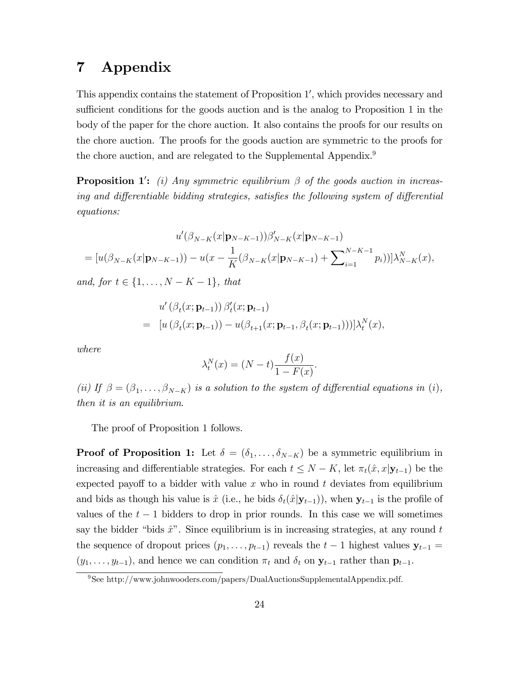# 7 Appendix

This appendix contains the statement of Proposition 1', which provides necessary and sufficient conditions for the goods auction and is the analog to Proposition 1 in the body of the paper for the chore auction. It also contains the proofs for our results on the chore auction. The proofs for the goods auction are symmetric to the proofs for the chore auction, and are relegated to the Supplemental Appendix.<sup>9</sup>

**Proposition 1':** (i) Any symmetric equilibrium  $\beta$  of the goods auction in increasing and differentiable bidding strategies, satisfies the following system of differential equations:

$$
u'(\beta_{N-K}(x|\mathbf{p}_{N-K-1}))\beta'_{N-K}(x|\mathbf{p}_{N-K-1})
$$
  
=  $[u(\beta_{N-K}(x|\mathbf{p}_{N-K-1})) - u(x - \frac{1}{K}(\beta_{N-K}(x|\mathbf{p}_{N-K-1}) + \sum_{i=1}^{N-K-1} p_i))] \lambda_{N-K}^N(x),$ 

and, for  $t \in \{1, ..., N - K - 1\}$ , that

$$
u'(\beta_t(x; \mathbf{p}_{t-1})) \beta'_t(x; \mathbf{p}_{t-1})
$$
  
=  $[u(\beta_t(x; \mathbf{p}_{t-1})) - u(\beta_{t+1}(x; \mathbf{p}_{t-1}, \beta_t(x; \mathbf{p}_{t-1})))]\lambda_t^N(x),$ 

where

$$
\lambda_t^N(x) = (N - t) \frac{f(x)}{1 - F(x)}.
$$

(ii) If  $\beta = (\beta_1, \ldots, \beta_{N-K})$  is a solution to the system of differential equations in (i), then it is an equilibrium.

The proof of Proposition 1 follows.

**Proof of Proposition 1:** Let  $\delta = (\delta_1, \ldots, \delta_{N-K})$  be a symmetric equilibrium in increasing and differentiable strategies. For each  $t \leq N - K$ , let  $\pi_t(\hat{x}, x|\mathbf{y}_{t-1})$  be the expected payoff to a bidder with value x who in round t deviates from equilibrium and bids as though his value is  $\hat{x}$  (i.e., he bids  $\delta_t(\hat{x}|\mathbf{y}_{t-1})$ ), when  $\mathbf{y}_{t-1}$  is the profile of values of the  $t-1$  bidders to drop in prior rounds. In this case we will sometimes say the bidder "bids  $\hat{x}$ ". Since equilibrium is in increasing strategies, at any round t the sequence of dropout prices  $(p_1, \ldots, p_{t-1})$  reveals the  $t-1$  highest values  $y_{t-1} =$  $(y_1, \ldots, y_{t-1})$ , and hence we can condition  $\pi_t$  and  $\delta_t$  on  $\mathbf{y}_{t-1}$  rather than  $\mathbf{p}_{t-1}$ .

<sup>9</sup>See http://www.johnwooders.com/papers/DualAuctionsSupplementalAppendix.pdf.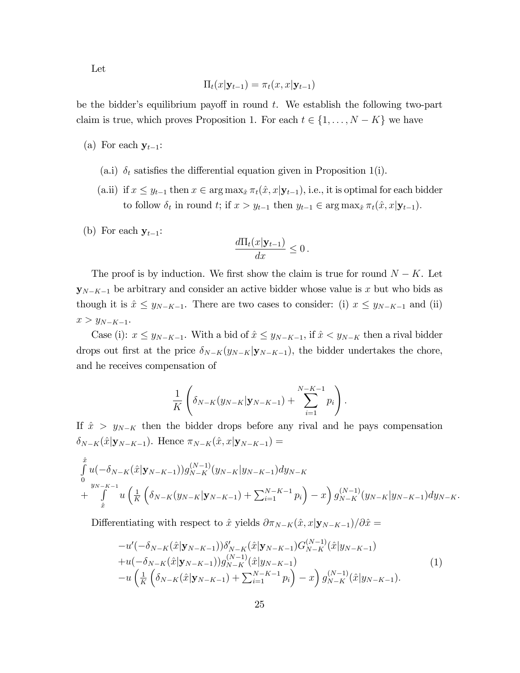Let

$$
\Pi_t(x|\mathbf{y}_{t-1}) = \pi_t(x,x|\mathbf{y}_{t-1})
$$

be the bidder's equilibrium payoff in round  $t$ . We establish the following two-part claim is true, which proves Proposition 1. For each  $t \in \{1, \ldots, N - K\}$  we have

- (a) For each  $y_{t-1}$ :
	- (a.i)  $\delta_t$  satisfies the differential equation given in Proposition 1(i).
	- (a.ii) if  $x \leq y_{t-1}$  then  $x \in \arg \max_{\hat{x}} \pi_t(\hat{x}, x|\mathbf{y}_{t-1}),$  i.e., it is optimal for each bidder to follow  $\delta_t$  in round t; if  $x > y_{t-1}$  then  $y_{t-1} \in \arg \max_{\hat{x}} \pi_t(\hat{x}, x|\mathbf{y}_{t-1}).$
- (b) For each  $y_{t-1}$ :

$$
\frac{d\Pi_t(x|\mathbf{y}_{t-1})}{dx} \leq 0.
$$

The proof is by induction. We first show the claim is true for round  $N - K$ . Let  $\mathbf{y}_{N-K-1}$  be arbitrary and consider an active bidder whose value is x but who bids as though it is  $\hat{x} \leq y_{N-K-1}$ . There are two cases to consider: (i)  $x \leq y_{N-K-1}$  and (ii)  $x > y_{N-K-1}.$ 

Case (i):  $x \leq y_{N-K-1}$ . With a bid of  $\hat{x} \leq y_{N-K-1}$ , if  $\hat{x} < y_{N-K}$  then a rival bidder drops out first at the price  $\delta_{N-K}(y_{N-K}|\mathbf{y}_{N-K-1})$ , the bidder undertakes the chore, and he receives compensation of

$$
\frac{1}{K}\left(\delta_{N-K}(y_{N-K}| \mathbf{y}_{N-K-1}) + \sum_{i=1}^{N-K-1} p_i\right).
$$

If  $\hat{x} > y_{N-K}$  then the bidder drops before any rival and he pays compensation  $\delta_{N-K}(\hat{x}|\mathbf{y}_{N-K-1})$ . Hence  $\pi_{N-K}(\hat{x}, x|\mathbf{y}_{N-K-1}) =$ 

$$
\int_{0}^{\hat{x}} u(-\delta_{N-K}(\hat{x}| \mathbf{y}_{N-K-1})) g_{N-K}^{(N-1)}(y_{N-K}| y_{N-K-1}) dy_{N-K}\n+\int_{\hat{x}}^{y_{N-K-1}} u\left(\frac{1}{K}\left(\delta_{N-K}(y_{N-K}| \mathbf{y}_{N-K-1}) + \sum_{i=1}^{N-K-1} p_i\right) - x\right) g_{N-K}^{(N-1)}(y_{N-K}| y_{N-K-1}) dy_{N-K}.
$$

Differentiating with respect to  $\hat{x}$  yields  $\partial \pi_{N-K}(\hat{x}, x|\mathbf{y}_{N-K-1})/\partial \hat{x} =$ 

$$
-u'(-\delta_{N-K}(\hat{x}|\mathbf{y}_{N-K-1}))\delta'_{N-K}(\hat{x}|\mathbf{y}_{N-K-1})G_{N-K}^{(N-1)}(\hat{x}|y_{N-K-1})
$$
  
+u(-\delta\_{N-K}(\hat{x}|\mathbf{y}\_{N-K-1}))g\_{N-K}^{(N-1)}(\hat{x}|y\_{N-K-1})  
-u\left(\frac{1}{K}\left(\delta\_{N-K}(\hat{x}|\mathbf{y}\_{N-K-1})+\sum\_{i=1}^{N-K-1}p\_i\right)-x\right)g\_{N-K}^{(N-1)}(\hat{x}|y\_{N-K-1}). \tag{1}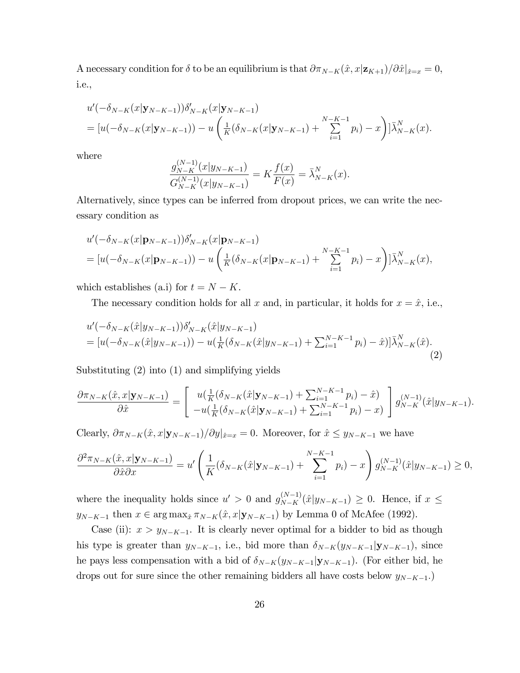A necessary condition for  $\delta$  to be an equilibrium is that  $\partial \pi_{N-K}(\hat{x}, x|\mathbf{z}_{K+1})/\partial \hat{x}|_{\hat{x}=x} = 0$ , i.e.,

$$
u'(-\delta_{N-K}(x|\mathbf{y}_{N-K-1}))\delta'_{N-K}(x|\mathbf{y}_{N-K-1})
$$
  
= 
$$
[u(-\delta_{N-K}(x|\mathbf{y}_{N-K-1})) - u\left(\frac{1}{K}(\delta_{N-K}(x|\mathbf{y}_{N-K-1}) + \sum_{i=1}^{N-K-1} p_i) - x\right)]\bar{\lambda}_{N-K}^{N}(x).
$$

where

$$
\frac{g_{N-K}^{(N-1)}(x|y_{N-K-1})}{G_{N-K}^{(N-1)}(x|y_{N-K-1})} = K \frac{f(x)}{F(x)} = \bar{\lambda}_{N-K}^{N}(x).
$$

Alternatively, since types can be inferred from dropout prices, we can write the necessary condition as

$$
u'(-\delta_{N-K}(x|\mathbf{p}_{N-K-1}))\delta'_{N-K}(x|\mathbf{p}_{N-K-1})
$$
  
=  $[u(-\delta_{N-K}(x|\mathbf{p}_{N-K-1})) - u\left(\frac{1}{K}(\delta_{N-K}(x|\mathbf{p}_{N-K-1}) + \sum_{i=1}^{N-K-1} p_i) - x\right)]\bar{\lambda}_{N-K}^{N}(x),$ 

which establishes (a.i) for  $t = N - K$ .

The necessary condition holds for all x and, in particular, it holds for  $x = \hat{x}$ , i.e.,

$$
u'(-\delta_{N-K}(\hat{x}|y_{N-K-1}))\delta'_{N-K}(\hat{x}|y_{N-K-1})
$$
  
= 
$$
[u(-\delta_{N-K}(\hat{x}|y_{N-K-1})) - u(\frac{1}{K}(\delta_{N-K}(\hat{x}|y_{N-K-1}) + \sum_{i=1}^{N-K-1} p_i) - \hat{x})]\bar{\lambda}_{N-K}^N(\hat{x}).
$$
\n(2)

Substituting (2) into (1) and simplifying yields

$$
\frac{\partial \pi_{N-K}(\hat{x}, x | \mathbf{y}_{N-K-1})}{\partial \hat{x}} = \begin{bmatrix} u(\frac{1}{K}(\delta_{N-K}(\hat{x} | \mathbf{y}_{N-K-1}) + \sum_{i=1}^{N-K-1} p_i) - \hat{x}) \\ -u(\frac{1}{K}(\delta_{N-K}(\hat{x} | \mathbf{y}_{N-K-1}) + \sum_{i=1}^{N-K-1} p_i) - x) \end{bmatrix} g_{N-K}^{(N-1)}(\hat{x} | y_{N-K-1}).
$$

Clearly,  $\partial \pi_{N-K}(\hat{x}, x|\mathbf{y}_{N-K-1})/\partial y|_{\hat{x}=x} = 0$ . Moreover, for  $\hat{x} \leq y_{N-K-1}$  we have

$$
\frac{\partial^2 \pi_{N-K}(\hat{x}, x | \mathbf{y}_{N-K-1})}{\partial \hat{x} \partial x} = u' \left( \frac{1}{K} (\delta_{N-K}(\hat{x} | \mathbf{y}_{N-K-1}) + \sum_{i=1}^{N-K-1} p_i) - x \right) g_{N-K}^{(N-1)}(\hat{x} | y_{N-K-1}) \ge 0,
$$

where the inequality holds since  $u' > 0$  and  $g_{N-K}^{(N-1)}(\hat{x}|y_{N-K-1}) \ge 0$ . Hence, if  $x \le$  $y_{N-K-1}$  then  $x \in \arg \max_{\hat{x}} \pi_{N-K}(\hat{x}, x|\mathbf{y}_{N-K-1})$  by Lemma 0 of McAfee (1992).

Case (ii):  $x > y_{N-K-1}$ . It is clearly never optimal for a bidder to bid as though his type is greater than  $y_{N-K-1}$ , i.e., bid more than  $\delta_{N-K}(y_{N-K-1}|\mathbf{y}_{N-K-1})$ , since he pays less compensation with a bid of  $\delta_{N-K}(y_{N-K-1}|\mathbf{y}_{N-K-1})$ . (For either bid, he drops out for sure since the other remaining bidders all have costs below  $y_{N-K-1}$ .)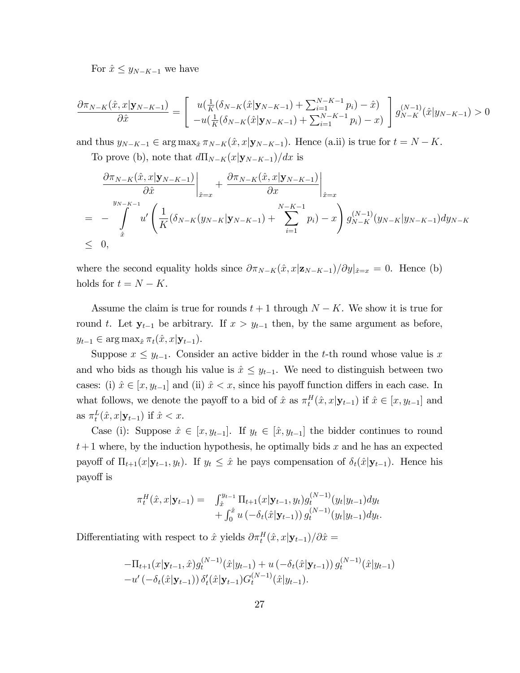For  $\hat{x} \leq y_{N-K-1}$  we have

$$
\frac{\partial \pi_{N-K}(\hat{x}, x | \mathbf{y}_{N-K-1})}{\partial \hat{x}} = \begin{bmatrix} u(\frac{1}{K}(\delta_{N-K}(\hat{x} | \mathbf{y}_{N-K-1}) + \sum_{i=1}^{N-K-1} p_i) - \hat{x}) \\ -u(\frac{1}{K}(\delta_{N-K}(\hat{x} | \mathbf{y}_{N-K-1}) + \sum_{i=1}^{N-K-1} p_i) - x) \end{bmatrix} g_{N-K}^{(N-1)}(\hat{x} | y_{N-K-1}) > 0
$$

and thus  $y_{N-K-1} \in \arg \max_{\hat{x}} \pi_{N-K}(\hat{x}, x|\mathbf{y}_{N-K-1})$ . Hence (a.ii) is true for  $t = N - K$ .

To prove (b), note that  $d\Pi_{N-K}(x|\mathbf{y}_{N-K-1})/dx$  is

$$
\frac{\partial \pi_{N-K}(\hat{x}, x | \mathbf{y}_{N-K-1})}{\partial \hat{x}} \Big|_{\hat{x}=x} + \frac{\partial \pi_{N-K}(\hat{x}, x | \mathbf{y}_{N-K-1})}{\partial x} \Big|_{\hat{x}=x}
$$
\n
$$
= - \int_{\hat{x}}^{y_{N-K-1}} u' \left( \frac{1}{K} (\delta_{N-K} (y_{N-K} | \mathbf{y}_{N-K-1}) + \sum_{i=1}^{N-K-1} p_i) - x \right) g_{N-K}^{(N-1)}(y_{N-K} | y_{N-K-1}) dy_{N-K}
$$
\n
$$
\leq 0,
$$

where the second equality holds since  $\partial \pi_{N-K}(\hat{x}, x|\mathbf{z}_{N-K-1})/\partial y|_{\hat{x}=x} = 0$ . Hence (b) holds for  $t = N - K$ .

Assume the claim is true for rounds  $t + 1$  through  $N - K$ . We show it is true for round t. Let  $y_{t-1}$  be arbitrary. If  $x > y_{t-1}$  then, by the same argument as before,  $y_{t-1} \in \arg \max_{\hat{x}} \pi_t(\hat{x}, x|\mathbf{y}_{t-1}).$ 

Suppose  $x \leq y_{t-1}$ . Consider an active bidder in the t-th round whose value is x and who bids as though his value is  $\hat{x} \leq y_{t-1}$ . We need to distinguish between two cases: (i)  $\hat{x} \in [x, y_{t-1}]$  and (ii)  $\hat{x} < x$ , since his payoff function differs in each case. In what follows, we denote the payoff to a bid of  $\hat{x}$  as  $\pi_t^H(\hat{x}, x | \mathbf{y}_{t-1})$  if  $\hat{x} \in [x, y_{t-1}]$  and as  $\pi_t^L(\hat{x}, x|\mathbf{y}_{t-1})$  if  $\hat{x} < x$ .

Case (i): Suppose  $\hat{x} \in [x, y_{t-1}]$ . If  $y_t \in [\hat{x}, y_{t-1}]$  the bidder continues to round  $t+1$  where, by the induction hypothesis, he optimally bids x and he has an expected payoff of  $\Pi_{t+1}(x|\mathbf{y}_{t-1}, y_t)$ . If  $y_t \leq \hat{x}$  he pays compensation of  $\delta_t(\hat{x}|\mathbf{y}_{t-1})$ . Hence his payo§ is

$$
\pi_t^H(\hat{x}, x | \mathbf{y}_{t-1}) = \int_{\hat{x}}^{y_{t-1}} \Pi_{t+1}(x | \mathbf{y}_{t-1}, y_t) g_t^{(N-1)}(y_t | y_{t-1}) dy_t + \int_0^{\hat{x}} u \left( -\delta_t(\hat{x} | \mathbf{y}_{t-1}) \right) g_t^{(N-1)}(y_t | y_{t-1}) dy_t.
$$

Differentiating with respect to  $\hat{x}$  yields  $\partial \pi_t^H(\hat{x}, x | \mathbf{y}_{t-1})/\partial \hat{x} =$ 

$$
-\Pi_{t+1}(x|\mathbf{y}_{t-1},\hat{x})g_t^{(N-1)}(\hat{x}|y_{t-1})+u\left(-\delta_t(\hat{x}|\mathbf{y}_{t-1})\right)g_t^{(N-1)}(\hat{x}|y_{t-1})
$$
  

$$
-u'\left(-\delta_t(\hat{x}|\mathbf{y}_{t-1})\right)\delta_t'(\hat{x}|\mathbf{y}_{t-1})G_t^{(N-1)}(\hat{x}|y_{t-1}).
$$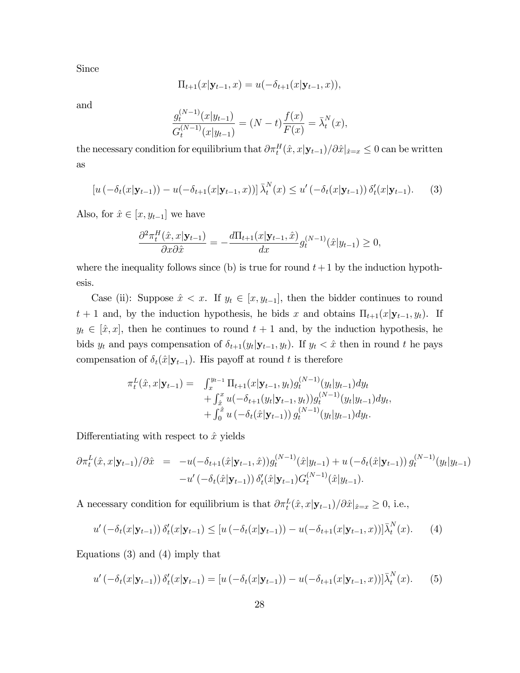Since

$$
\Pi_{t+1}(x|\mathbf{y}_{t-1},x) = u(-\delta_{t+1}(x|\mathbf{y}_{t-1},x)),
$$

and

$$
\frac{g_t^{(N-1)}(x|y_{t-1})}{G_t^{(N-1)}(x|y_{t-1})} = (N-t)\frac{f(x)}{F(x)} = \bar{\lambda}_t^N(x),
$$

the necessary condition for equilibrium that  $\partial \pi_t^H(\hat{x}, x|\mathbf{y}_{t-1})/\partial \hat{x}|_{\hat{x}=x} \leq 0$  can be written as

$$
[u(-\delta_t(x|\mathbf{y}_{t-1})) - u(-\delta_{t+1}(x|\mathbf{y}_{t-1},x))] \bar{\lambda}_t^N(x) \le u'(-\delta_t(x|\mathbf{y}_{t-1})) \delta_t'(x|\mathbf{y}_{t-1}). \tag{3}
$$

Also, for  $\hat{x} \in [x, y_{t-1}]$  we have

$$
\frac{\partial^2 \pi_t^H(\hat{x}, x | \mathbf{y}_{t-1})}{\partial x \partial \hat{x}} = -\frac{d\Pi_{t+1}(x | \mathbf{y}_{t-1}, \hat{x})}{dx} g_t^{(N-1)}(\hat{x} | y_{t-1}) \ge 0,
$$

where the inequality follows since (b) is true for round  $t+1$  by the induction hypothesis.

Case (ii): Suppose  $\hat{x} < x$ . If  $y_t \in [x, y_{t-1}]$ , then the bidder continues to round  $t + 1$  and, by the induction hypothesis, he bids x and obtains  $\Pi_{t+1}(x|\mathbf{y}_{t-1}, y_t)$ . If  $y_t \in [\hat{x}, x]$ , then he continues to round  $t + 1$  and, by the induction hypothesis, he bids  $y_t$  and pays compensation of  $\delta_{t+1}(y_t|\mathbf{y}_{t-1}, y_t)$ . If  $y_t < \hat{x}$  then in round t he pays compensation of  $\delta_t(\hat{x}|\mathbf{y}_{t-1})$ . His payoff at round t is therefore

$$
\pi_t^L(\hat{x}, x | \mathbf{y}_{t-1}) = \int_x^{y_{t-1}} \Pi_{t+1}(x | \mathbf{y}_{t-1}, y_t) g_t^{(N-1)}(y_t | y_{t-1}) dy_t \n+ \int_{\hat{x}}^x u(-\delta_{t+1}(y_t | \mathbf{y}_{t-1}, y_t)) g_t^{(N-1)}(y_t | y_{t-1}) dy_t, \n+ \int_0^{\hat{x}} u(-\delta_t(\hat{x} | \mathbf{y}_{t-1})) g_t^{(N-1)}(y_t | y_{t-1}) dy_t.
$$

Differentiating with respect to  $\hat{x}$  yields

$$
\partial \pi_t^L(\hat{x}, x | \mathbf{y}_{t-1}) / \partial \hat{x} = -u(-\delta_{t+1}(\hat{x} | \mathbf{y}_{t-1}, \hat{x})) g_t^{(N-1)}(\hat{x} | y_{t-1}) + u(-\delta_t(\hat{x} | \mathbf{y}_{t-1})) g_t^{(N-1)}(y_t | y_{t-1}) -u'(-\delta_t(\hat{x} | \mathbf{y}_{t-1})) \delta_t'(\hat{x} | \mathbf{y}_{t-1}) G_t^{(N-1)}(\hat{x} | y_{t-1}).
$$

A necessary condition for equilibrium is that  $\partial \pi_t^L(\hat{x}, x | \mathbf{y}_{t-1})/\partial \hat{x}|_{\hat{x}=x} \geq 0$ , i.e.,

$$
u'(-\delta_t(x|\mathbf{y}_{t-1}))\,\delta'_t(x|\mathbf{y}_{t-1}) \leq [u(-\delta_t(x|\mathbf{y}_{t-1})) - u(-\delta_{t+1}(x|\mathbf{y}_{t-1},x))] \bar{\lambda}_t^N(x). \tag{4}
$$

Equations (3) and (4) imply that

$$
u'(-\delta_t(x|\mathbf{y}_{t-1}))\,\delta'_t(x|\mathbf{y}_{t-1}) = [u(-\delta_t(x|\mathbf{y}_{t-1})) - u(-\delta_{t+1}(x|\mathbf{y}_{t-1},x))] \bar{\lambda}_t^N(x). \qquad (5)
$$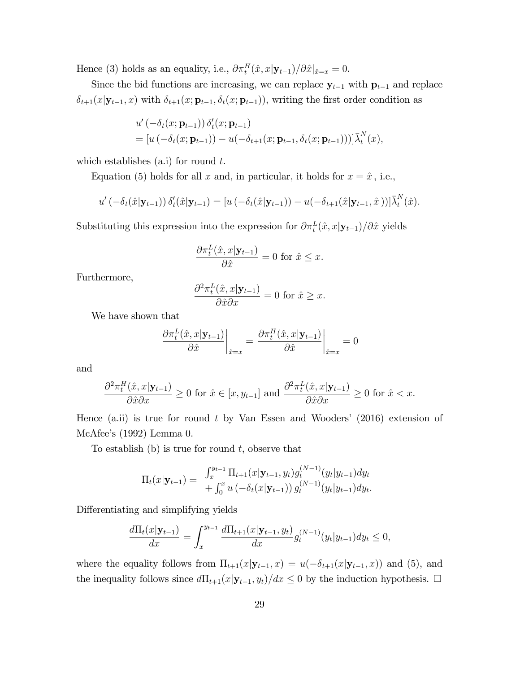Hence (3) holds as an equality, i.e.,  $\partial \pi_t^H(\hat{x}, x | \mathbf{y}_{t-1}) / \partial \hat{x} |_{\hat{x}=x} = 0.$ 

Since the bid functions are increasing, we can replace  $y_{t-1}$  with  $p_{t-1}$  and replace  $\delta_{t+1}(x|\mathbf{y}_{t-1}, x)$  with  $\delta_{t+1}(x; \mathbf{p}_{t-1}, \delta_t(x; \mathbf{p}_{t-1}))$ , writing the first order condition as

$$
u'(-\delta_t(x; \mathbf{p}_{t-1})) \delta'_t(x; \mathbf{p}_{t-1})
$$
  
= 
$$
[u(-\delta_t(x; \mathbf{p}_{t-1})) - u(-\delta_{t+1}(x; \mathbf{p}_{t-1}, \delta_t(x; \mathbf{p}_{t-1})))]\overline{\lambda}_t^N(x),
$$

which establishes  $(a,i)$  for round  $t$ .

Equation (5) holds for all x and, in particular, it holds for  $x = \hat{x}$ , i.e.,

$$
u'(-\delta_t(\hat{x}|\mathbf{y}_{t-1}))\,\delta'_t(\hat{x}|\mathbf{y}_{t-1}) = [u(-\delta_t(\hat{x}|\mathbf{y}_{t-1})) - u(-\delta_{t+1}(\hat{x}|\mathbf{y}_{t-1},\hat{x}))]\bar{\lambda}_t^N(\hat{x}).
$$

Substituting this expression into the expression for  $\partial \pi_t^L(\hat{x}, x | \mathbf{y}_{t-1})/\partial \hat{x}$  yields

$$
\frac{\partial \pi_t^L(\hat{x}, x | \mathbf{y}_{t-1})}{\partial \hat{x}} = 0 \text{ for } \hat{x} \le x.
$$

Furthermore,

$$
\frac{\partial^2 \pi_t^L(\hat{x}, x | \mathbf{y}_{t-1})}{\partial \hat{x} \partial x} = 0 \text{ for } \hat{x} \ge x.
$$

We have shown that

$$
\frac{\partial \pi_t^L(\hat{x}, x | \mathbf{y}_{t-1})}{\partial \hat{x}} \bigg|_{\hat{x}=x} = \frac{\partial \pi_t^H(\hat{x}, x | \mathbf{y}_{t-1})}{\partial \hat{x}} \bigg|_{\hat{x}=x} = 0
$$

and

$$
\frac{\partial^2 \pi_t^H(\hat{x}, x | \mathbf{y}_{t-1})}{\partial \hat{x} \partial x} \ge 0 \text{ for } \hat{x} \in [x, y_{t-1}] \text{ and } \frac{\partial^2 \pi_t^L(\hat{x}, x | \mathbf{y}_{t-1})}{\partial \hat{x} \partial x} \ge 0 \text{ for } \hat{x} < x.
$$

Hence  $(a.ii)$  is true for round t by Van Essen and Wooders' (2016) extension of McAfee's  $(1992)$  Lemma 0.

To establish  $(b)$  is true for round t, observe that

$$
\Pi_t(x|\mathbf{y}_{t-1}) = \int_x^{y_{t-1}} \Pi_{t+1}(x|\mathbf{y}_{t-1}, y_t) g_t^{(N-1)}(y_t|y_{t-1}) dy_t + \int_0^x u\left(-\delta_t(x|\mathbf{y}_{t-1})\right) g_t^{(N-1)}(y_t|y_{t-1}) dy_t.
$$

Differentiating and simplifying yields

$$
\frac{d\Pi_t(x|\mathbf{y}_{t-1})}{dx} = \int_x^{y_{t-1}} \frac{d\Pi_{t+1}(x|\mathbf{y}_{t-1}, y_t)}{dx} g_t^{(N-1)}(y_t|y_{t-1}) dy_t \le 0,
$$

where the equality follows from  $\Pi_{t+1}(x|\mathbf{y}_{t-1}, x) = u(-\delta_{t+1}(x|\mathbf{y}_{t-1}, x))$  and (5), and the inequality follows since  $d\Pi_{t+1}(x|\mathbf{y}_{t-1}, y_t)/dx \leq 0$  by the induction hypothesis.  $\Box$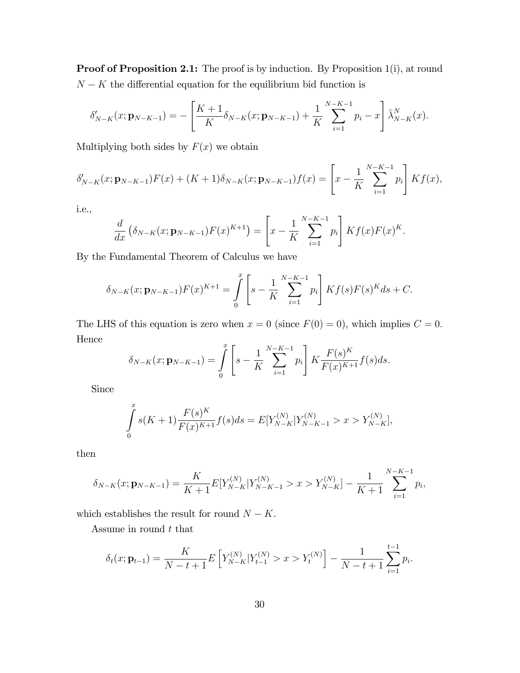Proof of Proposition 2.1: The proof is by induction. By Proposition 1(i), at round  $N - K$  the differential equation for the equilibrium bid function is

$$
\delta'_{N-K}(x; \mathbf{p}_{N-K-1}) = -\left[\frac{K+1}{K}\delta_{N-K}(x; \mathbf{p}_{N-K-1}) + \frac{1}{K}\sum_{i=1}^{N-K-1}p_i - x\right]\bar{\lambda}_{N-K}^N(x).
$$

Multiplying both sides by  $F(x)$  we obtain

$$
\delta'_{N-K}(x; \mathbf{p}_{N-K-1})F(x) + (K+1)\delta_{N-K}(x; \mathbf{p}_{N-K-1})f(x) = \left[x - \frac{1}{K} \sum_{i=1}^{N-K-1} p_i\right] K f(x),
$$

i.e.,

$$
\frac{d}{dx} \left( \delta_{N-K}(x; \mathbf{p}_{N-K-1}) F(x)^{K+1} \right) = \left[ x - \frac{1}{K} \sum_{i=1}^{N-K-1} p_i \right] K f(x) F(x)^K.
$$

By the Fundamental Theorem of Calculus we have

$$
\delta_{N-K}(x; \mathbf{p}_{N-K-1})F(x)^{K+1} = \int_{0}^{x} \left[ s - \frac{1}{K} \sum_{i=1}^{N-K-1} p_i \right] K f(s) F(s)^K ds + C.
$$

The LHS of this equation is zero when  $x = 0$  (since  $F(0) = 0$ ), which implies  $C = 0$ . Hence

$$
\delta_{N-K}(x; \mathbf{p}_{N-K-1}) = \int_{0}^{x} \left[ s - \frac{1}{K} \sum_{i=1}^{N-K-1} p_i \right] K \frac{F(s)^K}{F(x)^{K+1}} f(s) ds.
$$

Since

$$
\int_{0}^{x} s(K+1) \frac{F(s)^{K}}{F(x)^{K+1}} f(s) ds = E[Y_{N-K}^{(N)}|Y_{N-K-1}^{(N)} > x > Y_{N-K}^{(N)}],
$$

then

$$
\delta_{N-K}(x; \mathbf{p}_{N-K-1}) = \frac{K}{K+1} E[Y_{N-K}^{(N)} | Y_{N-K-1}^{(N)} > x > Y_{N-K}^{(N)}] - \frac{1}{K+1} \sum_{i=1}^{N-K-1} p_i,
$$

which establishes the result for round  $N - K$ .

Assume in round  $t$  that

$$
\delta_t(x; \mathbf{p}_{t-1}) = \frac{K}{N-t+1} E\left[ Y_{N-K}^{(N)} | Y_{t-1}^{(N)} > x > Y_t^{(N)} \right] - \frac{1}{N-t+1} \sum_{i=1}^{t-1} p_i.
$$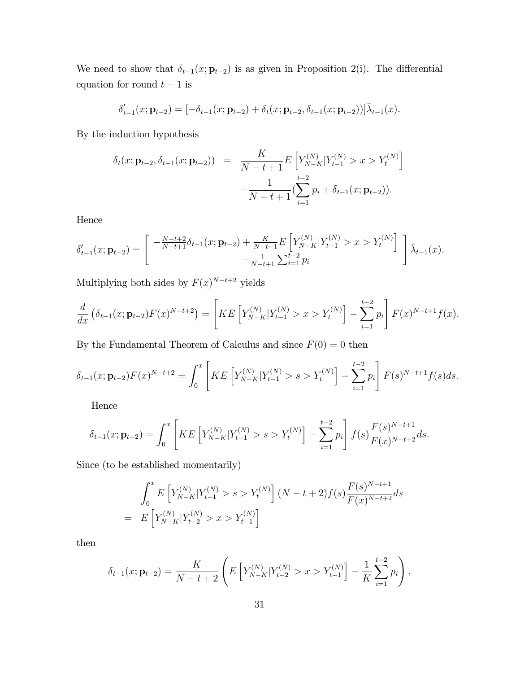We need to show that  $\delta_{t-1}(x; \mathbf{p}_{t-2})$  is as given in Proposition 2(i). The differential equation for round  $t-1$  is

$$
\delta'_{t-1}(x; \mathbf{p}_{t-2}) = [-\delta_{t-1}(x; \mathbf{p}_{t-2}) + \delta_t(x; \mathbf{p}_{t-2}, \delta_{t-1}(x; \mathbf{p}_{t-2}))]\overline{\lambda}_{t-1}(x).
$$

By the induction hypothesis

$$
\delta_t(x; \mathbf{p}_{t-2}, \delta_{t-1}(x; \mathbf{p}_{t-2})) = \frac{K}{N-t+1} E\left[Y_{N-K}^{(N)} | Y_{t-1}^{(N)} > x > Y_t^{(N)}\right] - \frac{1}{N-t+1} \left(\sum_{i=1}^{t-2} p_i + \delta_{t-1}(x; \mathbf{p}_{t-2})\right).
$$

Hence

$$
\delta'_{t-1}(x; \mathbf{p}_{t-2}) = \begin{bmatrix} -\frac{N-t+2}{N-t+1}\delta_{t-1}(x; \mathbf{p}_{t-2}) + \frac{K}{N-t+1}E\left[Y_{N-K}^{(N)}|Y_{t-1}^{(N)} > x > Y_t^{(N)}\right] \\ -\frac{1}{N-t+1}\sum_{i=1}^{t-2} p_i \end{bmatrix} \frac{1}{\lambda_{t-1}(x)}.
$$

Multiplying both sides by  $F(x)^{N-t+2}$  yields

$$
\frac{d}{dx}\left(\delta_{t-1}(x; \mathbf{p}_{t-2})F(x)^{N-t+2}\right) = \left[KE\left[Y_{N-K}^{(N)}|Y_{t-1}^{(N)} > x > Y_t^{(N)}\right] - \sum_{i=1}^{t-2} p_i\right]F(x)^{N-t+1}f(x).
$$

By the Fundamental Theorem of Calculus and since  $F(0) = 0$  then

$$
\delta_{t-1}(x; \mathbf{p}_{t-2}) F(x)^{N-t+2} = \int_0^x \left[ KE \left[ Y_{N-K}^{(N)} | Y_{t-1}^{(N)} > s > Y_t^{(N)} \right] - \sum_{i=1}^{t-2} p_i \right] F(s)^{N-t+1} f(s) ds.
$$

Hence

$$
\delta_{t-1}(x; \mathbf{p}_{t-2}) = \int_0^x \left[ KE \left[ Y_{N-K}^{(N)} | Y_{t-1}^{(N)} > s > Y_t^{(N)} \right] - \sum_{i=1}^{t-2} p_i \right] f(s) \frac{F(s)^{N-t+1}}{F(x)^{N-t+2}} ds.
$$

Since (to be established momentarily)

$$
\int_0^x E\left[Y_{N-K}^{(N)}|Y_{t-1}^{(N)} > s > Y_t^{(N)}\right](N-t+2)f(s)\frac{F(s)^{N-t+1}}{F(x)^{N-t+2}}ds
$$
\n
$$
= E\left[Y_{N-K}^{(N)}|Y_{t-2}^{(N)} > x > Y_{t-1}^{(N)}\right]
$$

then

$$
\delta_{t-1}(x; \mathbf{p}_{t-2}) = \frac{K}{N-t+2} \left( E \left[ Y_{N-K}^{(N)} | Y_{t-2}^{(N)} > x > Y_{t-1}^{(N)} \right] - \frac{1}{K} \sum_{i=1}^{t-2} p_i \right),
$$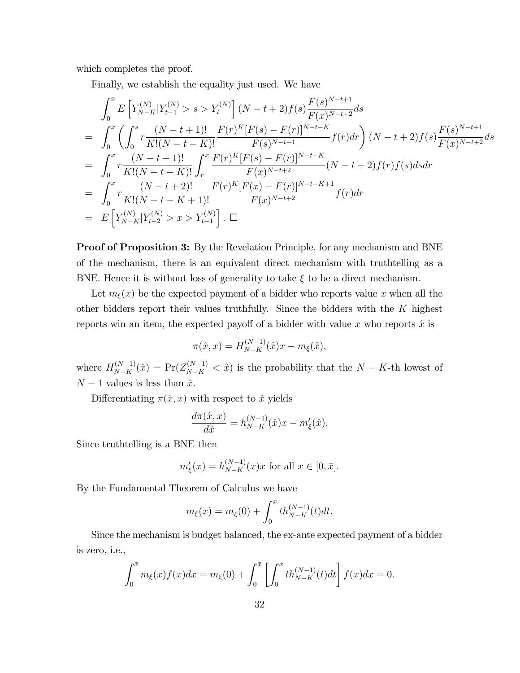which completes the proof.

Finally, we establish the equality just used. We have

$$
\int_{0}^{x} E\left[Y_{N-K}^{(N)}|Y_{t-1}^{(N)} > s > Y_{t}^{(N)}\right](N-t+2)f(s)\frac{F(s)^{N-t+1}}{F(x)^{N-t+2}}ds
$$
\n
$$
= \int_{0}^{x} \left(\int_{0}^{s} r \frac{(N-t+1)!}{K!(N-t-K)!} \frac{F(r)^{K}[F(s) - F(r)]^{N-t-K}}{F(s)^{N-t+1}} f(r)dr\right)(N-t+2)f(s)\frac{F(s)^{N-t+1}}{F(x)^{N-t+2}}ds
$$
\n
$$
= \int_{0}^{x} r \frac{(N-t+1)!}{K!(N-t-K)!} \int_{r}^{x} \frac{F(r)^{K}[F(s) - F(r)]^{N-t-K}}{F(x)^{N-t+2}} (N-t+2)f(r)f(s)dsdr
$$
\n
$$
= \int_{0}^{x} r \frac{(N-t+2)!}{K!(N-t-K+1)!} \frac{F(r)^{K}[F(x) - F(r)]^{N-t-K+1}}{F(x)^{N-t+2}} f(r)dr
$$
\n
$$
= E\left[Y_{N-K}^{(N)}|Y_{t-2}^{(N)} > x > Y_{t-1}^{(N)}\right]. \square
$$

Proof of Proposition 3: By the Revelation Principle, for any mechanism and BNE of the mechanism, there is an equivalent direct mechanism with truthtelling as a BNE. Hence it is without loss of generality to take  $\xi$  to be a direct mechanism.

Let  $m_{\xi}(x)$  be the expected payment of a bidder who reports value x when all the other bidders report their values truthfully. Since the bidders with the  $K$  highest reports win an item, the expected payoff of a bidder with value x who reports  $\hat{x}$  is

$$
\pi(\hat{x}, x) = H_{N-K}^{(N-1)}(\hat{x})x - m_{\xi}(\hat{x}),
$$

where  $H_{N-K}^{(N-1)}(\hat{x}) = Pr(Z_{N-K}^{(N-1)} < \hat{x})$  is the probability that the  $N-K$ -th lowest of  $N - 1$  values is less than  $\hat{x}$ .

Differentiating  $\pi(\hat{x}, x)$  with respect to  $\hat{x}$  yields

$$
\frac{d\pi(\hat{x},x)}{d\hat{x}} = h_{N-K}^{(N-1)}(\hat{x})x - m'_{\xi}(\hat{x}).
$$

Since truthtelling is a BNE then

$$
m'_{\xi}(x) = h_{N-K}^{(N-1)}(x)x
$$
 for all  $x \in [0, \bar{x}].$ 

By the Fundamental Theorem of Calculus we have

$$
m_{\xi}(x) = m_{\xi}(0) + \int_0^x th_{N-K}^{(N-1)}(t)dt.
$$

Since the mechanism is budget balanced, the ex-ante expected payment of a bidder is zero, i.e.,

$$
\int_0^{\bar{x}} m_{\xi}(x) f(x) dx = m_{\xi}(0) + \int_0^{\bar{x}} \left[ \int_0^x t h_{N-K}^{(N-1)}(t) dt \right] f(x) dx = 0.
$$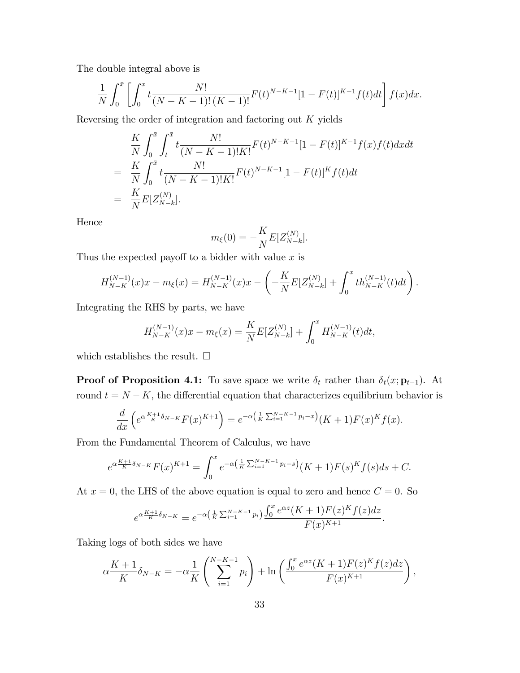The double integral above is

$$
\frac{1}{N} \int_0^{\bar{x}} \left[ \int_0^x t \frac{N!}{(N-K-1)!(K-1)!} F(t)^{N-K-1} [1-F(t)]^{K-1} f(t) dt \right] f(x) dx.
$$

Reversing the order of integration and factoring out K yields

$$
\frac{K}{N} \int_0^{\bar{x}} \int_t^{\bar{x}} t \frac{N!}{(N-K-1)!K!} F(t)^{N-K-1} [1 - F(t)]^{K-1} f(x) f(t) dx dt
$$
\n
$$
= \frac{K}{N} \int_0^{\bar{x}} t \frac{N!}{(N-K-1)!K!} F(t)^{N-K-1} [1 - F(t)]^K f(t) dt
$$
\n
$$
= \frac{K}{N} E[Z_{N-k}^{(N)}].
$$

Hence

$$
m_{\xi}(0) = -\frac{K}{N} E[Z_{N-k}^{(N)}].
$$

Thus the expected payoff to a bidder with value  $x$  is

$$
H_{N-K}^{(N-1)}(x)x - m_{\xi}(x) = H_{N-K}^{(N-1)}(x)x - \left(-\frac{K}{N}E[Z_{N-k}^{(N)}] + \int_0^x th_{N-K}^{(N-1)}(t)dt\right).
$$

Integrating the RHS by parts, we have

$$
H_{N-K}^{(N-1)}(x)x - m_{\xi}(x) = \frac{K}{N}E[Z_{N-k}^{(N)}] + \int_0^x H_{N-K}^{(N-1)}(t)dt,
$$

which establishes the result.  $\Box$ 

**Proof of Proposition 4.1:** To save space we write  $\delta_t$  rather than  $\delta_t(x; \mathbf{p}_{t-1})$ . At round  $t = N - K$ , the differential equation that characterizes equilibrium behavior is

$$
\frac{d}{dx}\left(e^{\alpha\frac{K+1}{K}\delta_{N-K}}F(x)^{K+1}\right)=e^{-\alpha\left(\frac{1}{K}\sum_{i=1}^{N-K-1}p_i-x\right)}(K+1)F(x)^Kf(x).
$$

From the Fundamental Theorem of Calculus, we have

$$
e^{\alpha \frac{K+1}{K}\delta_{N-K}} F(x)^{K+1} = \int_0^x e^{-\alpha \left(\frac{1}{K}\sum_{i=1}^{N-K-1} p_i - s\right)} (K+1) F(s)^K f(s) ds + C.
$$

At  $x = 0$ , the LHS of the above equation is equal to zero and hence  $C = 0$ . So

$$
e^{\alpha \frac{K+1}{K}\delta_{N-K}} = e^{-\alpha \left(\frac{1}{K}\sum_{i=1}^{N-K-1} p_i\right)} \frac{\int_0^x e^{\alpha z} (K+1) F(z)^K f(z) dz}{F(x)^{K+1}}.
$$

Taking logs of both sides we have

$$
\alpha \frac{K+1}{K} \delta_{N-K} = -\alpha \frac{1}{K} \left( \sum_{i=1}^{N-K-1} p_i \right) + \ln \left( \frac{\int_0^x e^{\alpha z} (K+1) F(z)^K f(z) dz}{F(x)^{K+1}} \right),
$$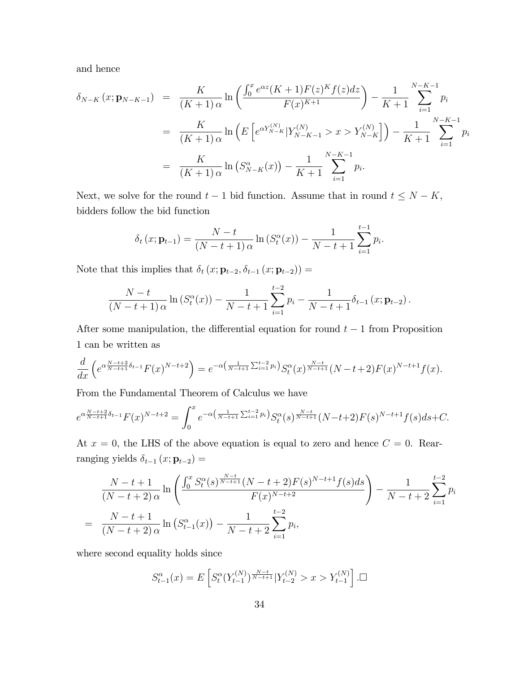and hence

$$
\delta_{N-K}(x; \mathbf{p}_{N-K-1}) = \frac{K}{(K+1)\alpha} \ln \left( \frac{\int_0^x e^{\alpha z} (K+1) F(z)^K f(z) dz}{F(x)^{K+1}} \right) - \frac{1}{K+1} \sum_{i=1}^{N-K-1} p_i
$$
  
\n
$$
= \frac{K}{(K+1)\alpha} \ln \left( E \left[ e^{\alpha Y_{N-K}^{(N)}} | Y_{N-K-1}^{(N)} > x > Y_{N-K}^{(N)} \right] \right) - \frac{1}{K+1} \sum_{i=1}^{N-K-1} p_i
$$
  
\n
$$
= \frac{K}{(K+1)\alpha} \ln \left( S_{N-K}^{\alpha}(x) \right) - \frac{1}{K+1} \sum_{i=1}^{N-K-1} p_i.
$$

Next, we solve for the round  $t-1$  bid function. Assume that in round  $t \le N - K$ , bidders follow the bid function

$$
\delta_t(x; \mathbf{p}_{t-1}) = \frac{N-t}{(N-t+1)\alpha} \ln \left( S_t^{\alpha}(x) \right) - \frac{1}{N-t+1} \sum_{i=1}^{t-1} p_i.
$$

Note that this implies that  $\delta_t (x; \mathbf{p}_{t-2}, \delta_{t-1} (x; \mathbf{p}_{t-2})) =$ 

$$
\frac{N-t}{(N-t+1)\alpha}\ln\left(S_t^{\alpha}(x)\right)-\frac{1}{N-t+1}\sum_{i=1}^{t-2}p_i-\frac{1}{N-t+1}\delta_{t-1}\left(x;\mathbf{p}_{t-2}\right).
$$

After some manipulation, the differential equation for round  $t - 1$  from Proposition 1 can be written as

$$
\frac{d}{dx}\left(e^{\alpha\frac{N-t+2}{N-t+1}\delta_{t-1}}F(x)^{N-t+2}\right)=e^{-\alpha\left(\frac{1}{N-t+1}\sum_{i=1}^{t-2}p_i\right)}S_t^{\alpha}(x)^{\frac{N-t}{N-t+1}}(N-t+2)F(x)^{N-t+1}f(x).
$$

From the Fundamental Theorem of Calculus we have

$$
e^{\alpha \frac{N-t+2}{N-t+1}\delta_{t-1}}F(x)^{N-t+2} = \int_0^x e^{-\alpha \left(\frac{1}{N-t+1}\sum_{i=1}^{t-2}p_i\right)} S_t^{\alpha}(s)^{\frac{N-t}{N-t+1}} (N-t+2)F(s)^{N-t+1}f(s)ds + C.
$$

At  $x = 0$ , the LHS of the above equation is equal to zero and hence  $C = 0$ . Rearranging yields  $\delta_{t-1} (x; \mathbf{p}_{t-2}) =$ 

$$
\frac{N-t+1}{(N-t+2)\alpha} \ln \left( \frac{\int_0^x S_t^{\alpha}(s)^{\frac{N-t}{N-t+1}} (N-t+2) F(s)^{N-t+1} f(s) ds}{F(x)^{N-t+2}} \right) - \frac{1}{N-t+2} \sum_{i=1}^{t-2} p_i
$$
\n
$$
= \frac{N-t+1}{(N-t+2)\alpha} \ln \left( S_{t-1}^{\alpha}(x) \right) - \frac{1}{N-t+2} \sum_{i=1}^{t-2} p_i,
$$

where second equality holds since

$$
S_{t-1}^{\alpha}(x) = E\left[S_t^{\alpha}(Y_{t-1}^{(N)})^{\frac{N-t}{N-t+1}} | Y_{t-2}^{(N)} > x > Y_{t-1}^{(N)}\right]. \square
$$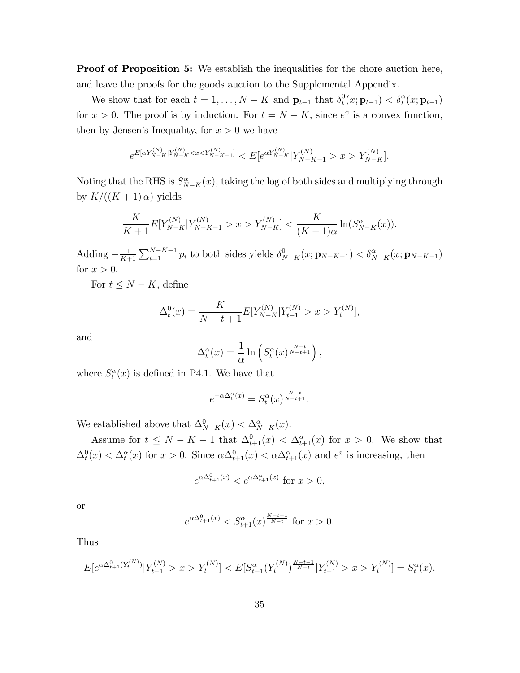**Proof of Proposition 5:** We establish the inequalities for the chore auction here, and leave the proofs for the goods auction to the Supplemental Appendix.

We show that for each  $t = 1, ..., N - K$  and  $\mathbf{p}_{t-1}$  that  $\delta_t^0$  $t_t^0(x; \mathbf{p}_{t-1}) < \delta_t^{\alpha}(x; \mathbf{p}_{t-1})$ for  $x > 0$ . The proof is by induction. For  $t = N - K$ , since  $e^x$  is a convex function, then by Jensen's Inequality, for  $x > 0$  we have

$$
e^{E[\alpha Y_{N-K}^{(N)}|Y_{N-K}^{(N)} < x < Y_{N-K-1}^{(N)}]} < E[e^{\alpha Y_{N-K}^{(N)}}|Y_{N-K-1}^{(N)} > x > Y_{N-K}^{(N)}].
$$

Noting that the RHS is  $S_{N-K}^{\alpha}(x)$ , taking the log of both sides and multiplying through by  $K/((K + 1) \alpha)$  yields

$$
\frac{K}{K+1}E[Y_{N-K}^{(N)}|Y_{N-K-1}^{(N)}>x>Y_{N-K}^{(N)}]<\frac{K}{(K+1)\alpha}\ln(S_{N-K}^{\alpha}(x)).
$$

Adding  $-\frac{1}{K+1}$  $\frac{1}{K+1}\sum_{i=1}^{N-K-1} p_i$  to both sides yields  $\delta_{N-K}^0(x; \mathbf{p}_{N-K-1}) < \delta_{N-K}^\alpha(x; \mathbf{p}_{N-K-1})$ for  $x > 0$ .

For  $t \leq N - K$ , define

$$
\Delta_t^0(x) = \frac{K}{N-t+1} E[Y_{N-K}^{(N)} | Y_{t-1}^{(N)} > x > Y_t^{(N)}],
$$

and

$$
\Delta_t^{\alpha}(x) = \frac{1}{\alpha} \ln \left( S_t^{\alpha}(x)^{\frac{N-t}{N-t+1}} \right),
$$

where  $S_t^{\alpha}(x)$  is defined in P4.1. We have that

$$
e^{-\alpha \Delta_t^{\alpha}(x)} = S_t^{\alpha}(x)^{\frac{N-t}{N-t+1}}.
$$

We established above that  $\Delta_{N-K}^0(x) < \Delta_{N-K}^{\alpha}(x)$ .

Assume for  $t \leq N - K - 1$  that  $\Delta_{t+1}^0(x) < \Delta_{t+1}^\alpha(x)$  for  $x > 0$ . We show that  $\Delta_t^0(x) < \Delta_t^{\alpha}(x)$  for  $x > 0$ . Since  $\alpha \Delta_{t+1}^0(x) < \alpha \Delta_{t+1}^{\alpha}(x)$  and  $e^x$  is increasing, then

$$
e^{\alpha \Delta_{t+1}^0(x)} < e^{\alpha \Delta_{t+1}^\alpha(x)} \text{ for } x > 0,
$$

or

$$
e^{\alpha \Delta_{t+1}^0(x)} < S_{t+1}^{\alpha}(x)^{\frac{N-t-1}{N-t}}
$$
 for  $x > 0$ .

Thus

$$
E[e^{\alpha \Delta_{t+1}^0(Y_t^{(N)})}|Y_{t-1}^{(N)} > x > Y_t^{(N)}] < E[S_{t+1}^{\alpha}(Y_t^{(N)})^{\frac{N-t-1}{N-t}}|Y_{t-1}^{(N)} > x > Y_t^{(N)}] = S_t^{\alpha}(x).
$$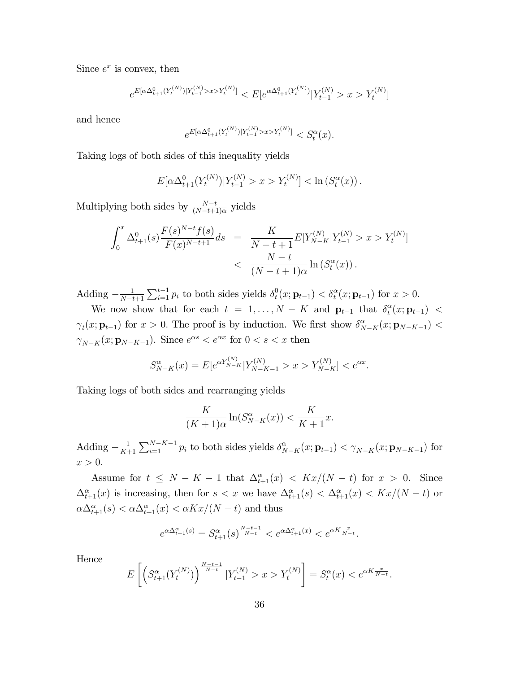Since  $e^x$  is convex, then

$$
e^{E[\alpha\Delta_{t+1}^0(Y_t^{(N)})|Y_{t-1}^{(N)}>x>Y_t^{(N)}]} < E[e^{\alpha\Delta_{t+1}^0(Y_t^{(N)})}|Y_{t-1}^{(N)}>x>Y_t^{(N)}]
$$

and hence

$$
e^{E[\alpha \Delta_{t+1}^0(Y_t^{(N)})|Y_{t-1}^{(N)}>x>Y_t^{(N)}]} < S_t^{\alpha}(x).
$$

Taking logs of both sides of this inequality yields

$$
E[\alpha \Delta_{t+1}^0(Y_t^{(N)})|Y_{t-1}^{(N)} > x > Y_t^{(N)}] < \ln(S_t^{\alpha}(x)).
$$

Multiplying both sides by  $\frac{N-t}{(N-t+1)\alpha}$  yields

$$
\int_0^x \Delta_{t+1}^0(s) \frac{F(s)^{N-t} f(s)}{F(x)^{N-t+1}} ds = \frac{K}{N-t+1} E[Y_{N-K}^{(N)} | Y_{t-1}^{(N)} > x > Y_t^{(N)}]
$$
  
< 
$$
< \frac{N-t}{(N-t+1)\alpha} \ln \left( S_t^{\alpha}(x) \right).
$$

Adding  $-\frac{1}{N-t}$  $N-t+1$  $\sum_{i=1}^{t-1} p_i$  to both sides yields  $\delta_t^0$  $t_t^0(x; \mathbf{p}_{t-1}) < \delta_t^{\alpha}(x; \mathbf{p}_{t-1})$  for  $x > 0$ .

We now show that for each  $t = 1, ..., N - K$  and  $\mathbf{p}_{t-1}$  that  $\delta_t^{\alpha}$  $_t^{\alpha}(x; \mathbf{p}_{t-1}) <$  $\gamma_t(x; \mathbf{p}_{t-1})$  for  $x > 0$ . The proof is by induction. We first show  $\delta_{N-K}^{\alpha}(x; \mathbf{p}_{N-K-1})$  $\gamma_{N-K}(x; \mathbf{p}_{N-K-1})$ . Since  $e^{\alpha s} < e^{\alpha x}$  for  $0 < s < x$  then

$$
S_{N-K}^{\alpha}(x) = E[e^{\alpha Y_{N-K}^{(N)}}|Y_{N-K-1}^{(N)} > x > Y_{N-K}^{(N)}] < e^{\alpha x}.
$$

Taking logs of both sides and rearranging yields

$$
\frac{K}{(K+1)\alpha} \ln(S_{N-K}^{\alpha}(x)) < \frac{K}{K+1}x.
$$

Adding  $-\frac{1}{K+1}$  $\frac{1}{K+1}\sum_{i=1}^{N-K-1} p_i$  to both sides yields  $\delta_{N-K}^{\alpha}(x; \mathbf{p}_{t-1}) < \gamma_{N-K}(x; \mathbf{p}_{N-K-1})$  for  $x > 0$ .

Assume for  $t \leq N - K - 1$  that  $\Delta_{t+1}^{\alpha}(x) < Kx/(N - t)$  for  $x > 0$ . Since  $\Delta_{t+1}^{\alpha}(x)$  is increasing, then for  $s < x$  we have  $\Delta_{t+1}^{\alpha}(s) < \Delta_{t+1}^{\alpha}(x) < Kx/(N-t)$  or  $\alpha \Delta_{t+1}^{\alpha}(s) < \alpha \Delta_{t+1}^{\alpha}(x) < \alpha Kx/(N-t)$  and thus

$$
e^{\alpha \Delta_{t+1}^{\alpha}(s)} = S_{t+1}^{\alpha}(s)^{\frac{N-t-1}{N-t}} < e^{\alpha \Delta_{t+1}^{\alpha}(x)} < e^{\alpha K \frac{x}{N-t}}.
$$

Hence

$$
E\left[\left(S_{t+1}^{\alpha}(Y_t^{(N)})\right)^{\frac{N-t-1}{N-t}} | Y_{t-1}^{(N)} > x > Y_t^{(N)}\right] = S_t^{\alpha}(x) < e^{\alpha K \frac{x}{N-t}}.
$$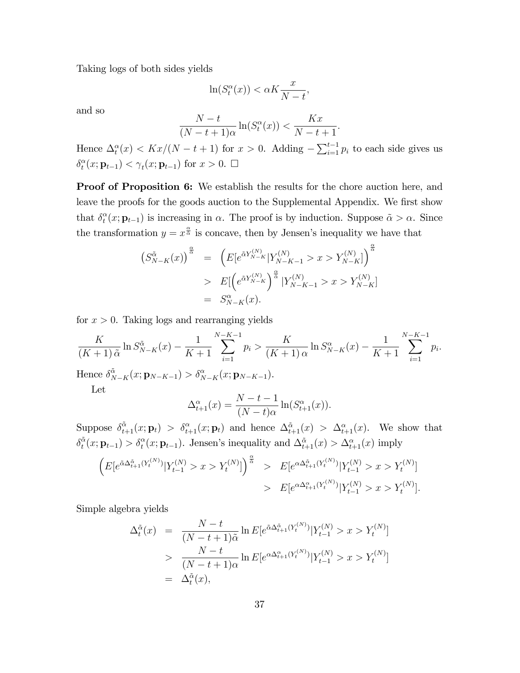Taking logs of both sides yields

$$
\ln(S_t^{\alpha}(x)) < \alpha K \frac{x}{N-t},
$$

and so

$$
\frac{N-t}{(N-t+1)\alpha}\ln(S_t^{\alpha}(x)) < \frac{Kx}{N-t+1}.
$$

Hence  $\Delta_t^{\alpha}(x) < Kx/(N-t+1)$  for  $x > 0$ . Adding  $-\sum_{i=1}^{t-1} p_i$  to each side gives us  $\delta_t^{\alpha}$  $t^{\alpha}(x; \mathbf{p}_{t-1}) < \gamma_t(x; \mathbf{p}_{t-1})$  for  $x > 0$ .  $\Box$ 

Proof of Proposition 6: We establish the results for the chore auction here, and leave the proofs for the goods auction to the Supplemental Appendix. We first show that  $\delta_t^{\alpha}$  $t^{\alpha}(x; \mathbf{p}_{t-1})$  is increasing in  $\alpha$ . The proof is by induction. Suppose  $\tilde{\alpha} > \alpha$ . Since the transformation  $y = x^{\frac{\alpha}{\alpha}}$  is concave, then by Jensen's inequality we have that

$$
(S_{N-K}^{\tilde{\alpha}}(x))^{\frac{\alpha}{\tilde{\alpha}}} = (E[e^{\tilde{\alpha}Y_{N-K}^{(N)}}|Y_{N-K-1}^{(N)} > x > Y_{N-K}^{(N)}]\big)^{\frac{\alpha}{\tilde{\alpha}}}
$$
  
> 
$$
E\left[\left(e^{\tilde{\alpha}Y_{N-K}^{(N)}}\right)^{\frac{\alpha}{\tilde{\alpha}}}|Y_{N-K-1}^{(N)} > x > Y_{N-K}^{(N)}]\right]
$$
  
= 
$$
S_{N-K}^{\alpha}(x).
$$

for  $x > 0$ . Taking logs and rearranging yields

$$
\frac{K}{(K+1)\tilde{\alpha}}\ln S_{N-K}^{\tilde{\alpha}}(x) - \frac{1}{K+1} \sum_{i=1}^{N-K-1} p_i > \frac{K}{(K+1)\alpha}\ln S_{N-K}^{\alpha}(x) - \frac{1}{K+1} \sum_{i=1}^{N-K-1} p_i.
$$
  
Hence  $\delta_{N-K}^{\tilde{\alpha}}(x; \mathbf{p}_{N-K-1}) > \delta_{N-K}^{\alpha}(x; \mathbf{p}_{N-K-1}).$ 

Hence  $\delta$  $\tilde{\alpha}_{N-K}(x; \mathbf{p}_{N-K-1}) > \delta_{N-K}^{\alpha}(x; \mathbf{p}_{N-K-1}).$ Let

$$
\Delta_{t+1}^{\alpha}(x) = \frac{N-t-1}{(N-t)\alpha} \ln(S_{t+1}^{\alpha}(x)).
$$

Suppose  $\delta_{t+1}^{\tilde{\alpha}}(x; \mathbf{p}_t) > \delta_{t+1}^{\alpha}(x; \mathbf{p}_t)$  and hence  $\Delta_{t+1}^{\tilde{\alpha}}(x) > \Delta_{t+1}^{\alpha}(x)$ . We show that  $\delta^{\tilde{\alpha}}_t$  $\tilde{\sigma}_t(x; \mathbf{p}_{t-1}) > \delta_t^{\alpha}(x; \mathbf{p}_{t-1})$ . Jensen's inequality and  $\Delta_{t+1}^{\tilde{\alpha}}(x) > \Delta_{t+1}^{\alpha}(x)$  imply

$$
\left(E[e^{\tilde{\alpha}\Delta_{t+1}^{\tilde{\alpha}}(Y_t^{(N)})}|Y_{t-1}^{(N)}>x>Y_t^{(N)}]\right)^{\frac{\alpha}{\tilde{\alpha}}} > E[e^{\alpha\Delta_{t+1}^{\tilde{\alpha}}(Y_t^{(N)})}|Y_{t-1}^{(N)}>x>Y_t^{(N)}]
$$
  
> 
$$
E[e^{\alpha\Delta_{t+1}^{\alpha}(Y_t^{(N)})}|Y_{t-1}^{(N)}>x>Y_t^{(N)}].
$$

Simple algebra yields

$$
\Delta_t^{\tilde{\alpha}}(x) = \frac{N-t}{(N-t+1)\tilde{\alpha}} \ln E[e^{\tilde{\alpha}\Delta_{t+1}^{\tilde{\alpha}}(Y_t^{(N)})}|Y_{t-1}^{(N)} > x > Y_t^{(N)}] \\
&> \frac{N-t}{(N-t+1)\alpha} \ln E[e^{\alpha \Delta_{t+1}^{\alpha}(Y_t^{(N)})}|Y_{t-1}^{(N)} > x > Y_t^{(N)}] \\
= \Delta_t^{\tilde{\alpha}}(x),
$$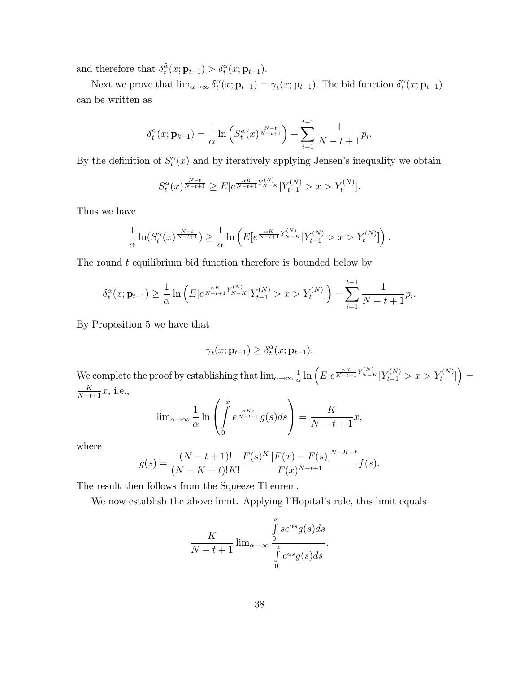and therefore that  $\delta_t^{\tilde{\alpha}}$  $\tilde{\alpha}_t(x; \mathbf{p}_{t-1}) > \delta_t^{\alpha}(x; \mathbf{p}_{t-1}).$ 

Next we prove that  $\lim_{\alpha\to\infty} \delta_t^{\alpha}$  $t_t^{\alpha}(x; \mathbf{p}_{t-1}) = \gamma_t(x; \mathbf{p}_{t-1})$ . The bid function  $\delta_t^{\alpha}$  $_t^\alpha(x;{\bf p}_{t-1})$ can be written as

$$
\delta_t^{\alpha}(x; \mathbf{p}_{k-1}) = \frac{1}{\alpha} \ln \left( S_t^{\alpha}(x)^{\frac{N-t}{N-t+1}} \right) - \sum_{i=1}^{t-1} \frac{1}{N-t+1} p_i.
$$

By the definition of  $S_t^{\alpha}(x)$  and by iteratively applying Jensen's inequality we obtain

$$
S_t^{\alpha}(x)^{\frac{N-t}{N-t+1}} \ge E[e^{\frac{\alpha K}{N-t+1}Y_{N-K}^{(N)}}|Y_{t-1}^{(N)} > x > Y_t^{(N)}].
$$

Thus we have

$$
\frac{1}{\alpha}\ln(S_t^{\alpha}(x)^{\frac{N-t}{N-t+1}}) \geq \frac{1}{\alpha}\ln\left(E[e^{\frac{\alpha K}{N-t+1}Y_{N-K}^{(N)}}|Y_{t-1}^{(N)} > x > Y_t^{(N)}]\right).
$$

The round  $t$  equilibrium bid function therefore is bounded below by

$$
\delta_t^{\alpha}(x; \mathbf{p}_{t-1}) \geq \frac{1}{\alpha} \ln \left( E[e^{\frac{\alpha K}{N-t+1} Y_{N-K}^{(N)}} | Y_{t-1}^{(N)} > x > Y_t^{(N)}] \right) - \sum_{i=1}^{t-1} \frac{1}{N-t+1} p_i.
$$

By Proposition 5 we have that

$$
\gamma_t(x; \mathbf{p}_{t-1}) \geq \delta_t^{\alpha}(x; \mathbf{p}_{t-1}).
$$

We complete the proof by establishing that  $\lim_{\alpha\to\infty}\frac{1}{\alpha}$  $\frac{1}{\alpha} \ln \left( E \left[ e^{\frac{\alpha K}{N-t+1} Y_{N-K}^{(N)}} | Y_{t-1}^{(N)} > x > Y_t^{(N)} \right] \right) =$  $\frac{K}{N-t+1}x$ , i.e.,

$$
\lim_{\alpha \to \infty} \frac{1}{\alpha} \ln \left( \int_{0}^{x} e^{\frac{\alpha K s}{N - t + 1}} g(s) ds \right) = \frac{K}{N - t + 1} x,
$$

where

$$
g(s) = \frac{(N-t+1)!}{(N-K-t)!K!} \frac{F(s)^K [F(x) - F(s)]^{N-K-t}}{F(x)^{N-t+1}} f(s).
$$

The result then follows from the Squeeze Theorem.

We now establish the above limit. Applying l'Hopital's rule, this limit equals

$$
\frac{K}{N-t+1} \lim_{\alpha \to \infty} \frac{\int_{0}^{x} s e^{\alpha s} g(s) ds}{\int_{0}^{x} e^{\alpha s} g(s) ds}.
$$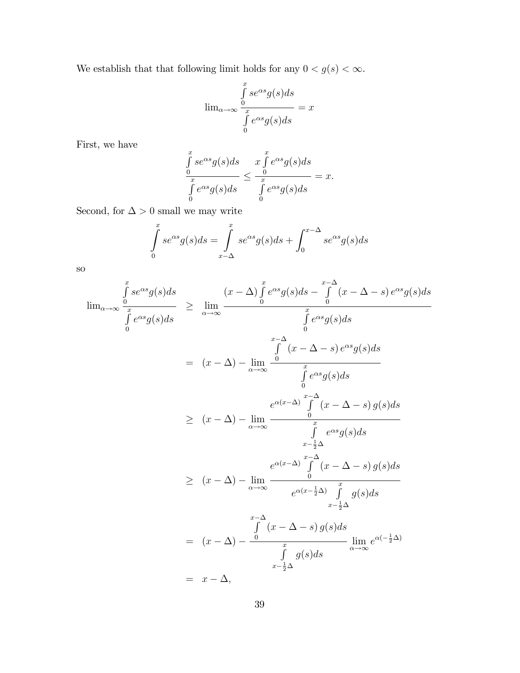We establish that that following limit holds for any  $0 < g(s) < \infty$ .

$$
\lim_{\alpha \to \infty} \frac{\int_{0}^{x} s e^{\alpha s} g(s) ds}{\int_{0}^{x} e^{\alpha s} g(s) ds} = x
$$

First, we have

$$
\frac{\int_{0}^{x} s e^{\alpha s} g(s) ds}{\int_{0}^{x} e^{\alpha s} g(s) ds} \leq \frac{x \int_{0}^{x} e^{\alpha s} g(s) ds}{\int_{0}^{x} e^{\alpha s} g(s) ds} = x.
$$

Second, for  $\Delta>0$  small we may write

$$
\int_{0}^{x} s e^{\alpha s} g(s) ds = \int_{x-\Delta}^{x} s e^{\alpha s} g(s) ds + \int_{0}^{x-\Delta} s e^{\alpha s} g(s) ds
$$

so

$$
\lim_{\alpha \to \infty} \frac{\int_{0}^{x} s e^{\alpha s} g(s) ds}{\int_{0}^{x} e^{\alpha s} g(s) ds} \geq \lim_{\alpha \to \infty} \frac{(x - \Delta) \int_{0}^{x} e^{\alpha s} g(s) ds - \int_{0}^{x - \Delta} (x - \Delta - s) e^{\alpha s} g(s) ds}{\int_{0}^{x - \Delta} e^{\alpha s} g(s) ds}
$$
\n
$$
= (x - \Delta) - \lim_{\alpha \to \infty} \frac{\int_{0}^{x - \Delta} (x - \Delta - s) e^{\alpha s} g(s) ds}{\int_{0}^{x} e^{\alpha s} g(s) ds}
$$
\n
$$
\geq (x - \Delta) - \lim_{\alpha \to \infty} \frac{e^{\alpha (x - \Delta)} \int_{0}^{x - \Delta} (x - \Delta - s) g(s) ds}{\int_{x - \frac{1}{2}\Delta}^{x} e^{\alpha s} g(s) ds}
$$
\n
$$
\geq (x - \Delta) - \lim_{\alpha \to \infty} \frac{e^{\alpha (x - \Delta)} \int_{0}^{x - \Delta} (x - \Delta - s) g(s) ds}{e^{\alpha (x - \frac{1}{2}\Delta)} \int_{0}^{x} g(s) ds}
$$
\n
$$
= (x - \Delta) - \frac{\int_{0}^{x - \Delta} (x - \Delta - s) g(s) ds}{\int_{x - \frac{1}{2}\Delta}^{x} g(s) ds} \lim_{\alpha \to \infty} e^{\alpha (-\frac{1}{2}\Delta)}
$$
\n
$$
= x - \Delta,
$$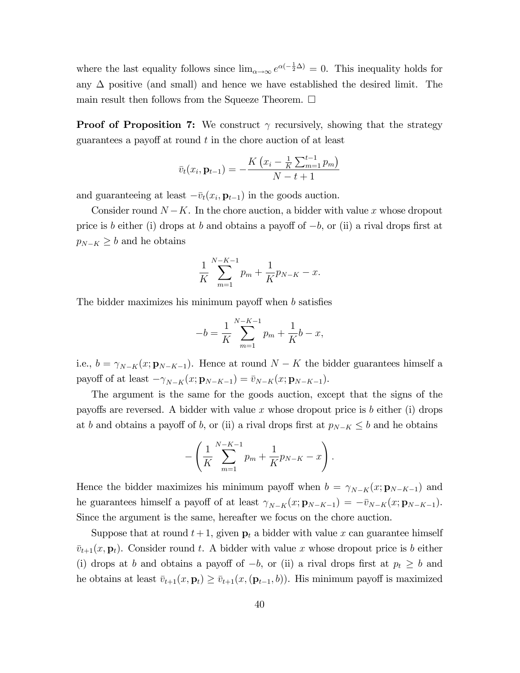where the last equality follows since  $\lim_{\alpha\to\infty} e^{\alpha(-\frac{1}{2}\Delta)} = 0$ . This inequality holds for any  $\Delta$  positive (and small) and hence we have established the desired limit. The main result then follows from the Squeeze Theorem.  $\square$ 

**Proof of Proposition 7:** We construct  $\gamma$  recursively, showing that the strategy guarantees a payoff at round  $t$  in the chore auction of at least

$$
\bar{v}_t(x_i, \mathbf{p}_{t-1}) = -\frac{K\left(x_i - \frac{1}{K}\sum_{m=1}^{t-1} p_m\right)}{N - t + 1}
$$

and guaranteeing at least  $-\bar{v}_t(x_i, \mathbf{p}_{t-1})$  in the goods auction.

Consider round  $N - K$ . In the chore auction, a bidder with value x whose dropout price is b either (i) drops at b and obtains a payoff of  $-b$ , or (ii) a rival drops first at  $p_{N-K} \geq b$  and he obtains

$$
\frac{1}{K} \sum_{m=1}^{N-K-1} p_m + \frac{1}{K} p_{N-K} - x.
$$

The bidder maximizes his minimum payoff when  $b$  satisfies

$$
-b = \frac{1}{K} \sum_{m=1}^{N-K-1} p_m + \frac{1}{K}b - x,
$$

i.e.,  $b = \gamma_{N-K}(x; \mathbf{p}_{N-K-1})$ . Hence at round  $N - K$  the bidder guarantees himself a payoff of at least  $-\gamma_{N-K}(x; \mathbf{p}_{N-K-1}) = \bar{v}_{N-K}(x; \mathbf{p}_{N-K-1}).$ 

The argument is the same for the goods auction, except that the signs of the payoffs are reversed. A bidder with value x whose dropout price is b either (i) drops at b and obtains a payoff of b, or (ii) a rival drops first at  $p_{N-K} \leq b$  and he obtains

$$
-\left(\frac{1}{K}\sum_{m=1}^{N-K-1}p_m+\frac{1}{K}p_{N-K}-x\right).
$$

Hence the bidder maximizes his minimum payoff when  $b = \gamma_{N-K}(x; \mathbf{p}_{N-K-1})$  and he guarantees himself a payoff of at least  $\gamma_{N-K}(x; \mathbf{p}_{N-K-1}) = -\bar{v}_{N-K}(x; \mathbf{p}_{N-K-1}).$ Since the argument is the same, hereafter we focus on the chore auction.

Suppose that at round  $t+1$ , given  $p_t$  a bidder with value x can guarantee himself  $\bar{v}_{t+1}(x, \mathbf{p}_t)$ . Consider round t. A bidder with value x whose dropout price is b either (i) drops at b and obtains a payoff of  $-b$ , or (ii) a rival drops first at  $p_t \geq b$  and he obtains at least  $\bar{v}_{t+1}(x, \mathbf{p}_t) \geq \bar{v}_{t+1}(x, (\mathbf{p}_{t-1}, b))$ . His minimum payoff is maximized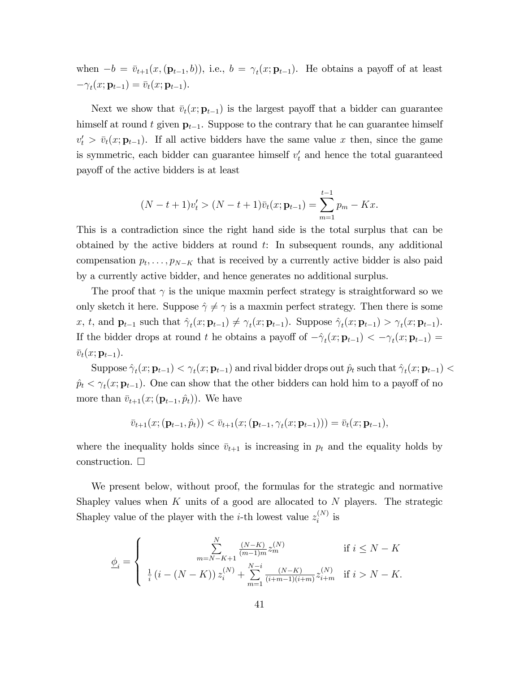when  $-b = \bar{v}_{t+1}(x, (\mathbf{p}_{t-1}, b))$ , i.e.,  $b = \gamma_t(x; \mathbf{p}_{t-1})$ . He obtains a payoff of at least  $-\gamma_t(x; \mathbf{p}_{t-1}) = \overline{v}_t(x; \mathbf{p}_{t-1}).$ 

Next we show that  $\bar{v}_t(x; \mathbf{p}_{t-1})$  is the largest payoff that a bidder can guarantee himself at round t given  $p_{t-1}$ . Suppose to the contrary that he can guarantee himself  $v'_t > \bar{v}_t(x; \mathbf{p}_{t-1})$ . If all active bidders have the same value x then, since the game is symmetric, each bidder can guarantee himself  $v_t$  and hence the total guaranteed payo§ of the active bidders is at least

$$
(N-t+1)v'_t > (N-t+1)\bar{v}_t(x; \mathbf{p}_{t-1}) = \sum_{m=1}^{t-1} p_m - Kx.
$$

This is a contradiction since the right hand side is the total surplus that can be obtained by the active bidders at round  $t$ : In subsequent rounds, any additional compensation  $p_t, \ldots, p_{N-K}$  that is received by a currently active bidder is also paid by a currently active bidder, and hence generates no additional surplus.

The proof that  $\gamma$  is the unique maxmin perfect strategy is straightforward so we only sketch it here. Suppose  $\hat{\gamma} \neq \gamma$  is a maxmin perfect strategy. Then there is some x, t, and  $\mathbf{p}_{t-1}$  such that  $\hat{\gamma}_t(x; \mathbf{p}_{t-1}) \neq \gamma_t(x; \mathbf{p}_{t-1})$ . Suppose  $\hat{\gamma}_t(x; \mathbf{p}_{t-1}) > \gamma_t(x; \mathbf{p}_{t-1})$ . If the bidder drops at round t he obtains a payoff of  $-\hat{\gamma}_t(x; \mathbf{p}_{t-1}) < -\gamma_t(x; \mathbf{p}_{t-1}) =$  $\bar{v}_t(x; \mathbf{p}_{t-1}).$ 

Suppose  $\hat{\gamma}_t(x; \mathbf{p}_{t-1}) < \gamma_t(x; \mathbf{p}_{t-1})$  and rival bidder drops out  $\hat{p}_t$  such that  $\hat{\gamma}_t(x; \mathbf{p}_{t-1}) <$  $\hat{p}_t < \gamma_t(x; \mathbf{p}_{t-1})$ . One can show that the other bidders can hold him to a payoff of no more than  $\bar{v}_{t+1}(x; (\mathbf{p}_{t-1}, \hat{p}_t)).$  We have

$$
\bar{v}_{t+1}(x;(\mathbf{p}_{t-1},\hat{p}_t)) < \bar{v}_{t+1}(x;(\mathbf{p}_{t-1},\gamma_t(x;\mathbf{p}_{t-1}))) = \bar{v}_t(x;\mathbf{p}_{t-1}),
$$

where the inequality holds since  $\bar{v}_{t+1}$  is increasing in  $p_t$  and the equality holds by construction.  $\square$ 

We present below, without proof, the formulas for the strategic and normative Shapley values when  $K$  units of a good are allocated to  $N$  players. The strategic Shapley value of the player with the *i*-th lowest value  $z_i^{(N)}$  $i^{(N)}$  is

$$
\underline{\phi}_i = \begin{cases} \sum_{m=N-K+1}^N \frac{(N-K)}{(m-1)m} z_m^{(N)} & \text{if } i \leq N-K \\ \frac{1}{i} \left(i - (N-K)\right) z_i^{(N)} + \sum_{m=1}^{N-i} \frac{(N-K)}{(i+m-1)(i+m)} z_{i+m}^{(N)} & \text{if } i > N-K. \end{cases}
$$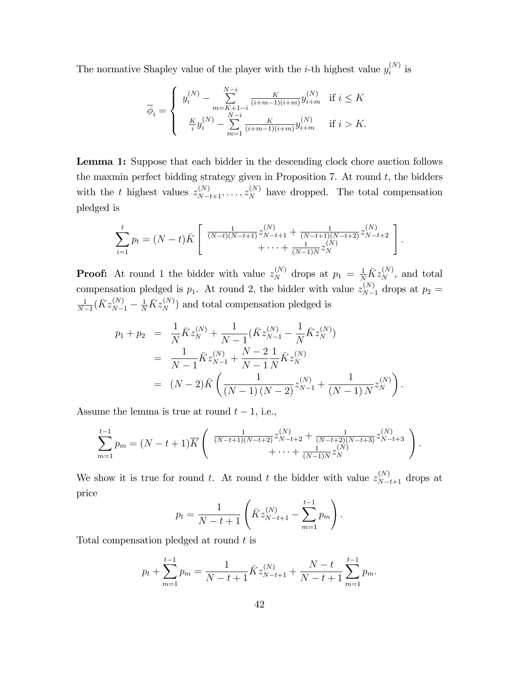The normative Shapley value of the player with the *i*-th highest value  $y_i^{(N)}$  $i^{(N)}$  is

$$
\overline{\phi}_i = \left\{ \begin{array}{ll} y_i^{(N)} - \sum\limits_{m=K+1-i}^{N-i} \frac{K}{(i+m-1)(i+m)} y_{i+m}^{(N)} & \text{if $i \leq K$} \\ \frac{K}{i} y_i^{(N)} - \sum\limits_{m=1}^{N-i} \frac{K}{(i+m-1)(i+m)} y_{i+m}^{(N)} & \text{if $i > K$.} \end{array} \right.
$$

Lemma 1: Suppose that each bidder in the descending clock chore auction follows the maxmin perfect bidding strategy given in Proposition 7. At round  $t$ , the bidders with the t highest values  $z_{N-t+1}^{(N)}, \ldots, z_N^{(N)}$  have dropped. The total compensation pledged is

$$
\sum_{i=1}^{t} p_t = (N-t)\overline{K} \left[ \frac{\frac{1}{(N-t)(N-t+1)} z_{N-t+1}^{(N)} + \frac{1}{(N-t+1)(N-t+2)} z_{N-t+2}^{(N)}}{+\cdots + \frac{1}{(N-1)N} z_N^{(N)}} \right].
$$

**Proof:** At round 1 the bidder with value  $z_N^{(N)}$  drops at  $p_1 = \frac{1}{N} \overline{K} z_N^{(N)}$ , and total compensation pledged is  $p_1$ . At round 2, the bidder with value  $z_{N-1}^{(N)}$  drops at  $p_2 =$ 1  $\frac{1}{N-1}(\bar{K}z_{N-1}^{(N)} - \frac{1}{N}\bar{K}z_{N}^{(N)})$  and total compensation pledged is

$$
p_1 + p_2 = \frac{1}{N} \bar{K} z_N^{(N)} + \frac{1}{N-1} (\bar{K} z_{N-1}^{(N)} - \frac{1}{N} \bar{K} z_N^{(N)})
$$
  
= 
$$
\frac{1}{N-1} \bar{K} z_{N-1}^{(N)} + \frac{N-2}{N-1} \frac{1}{N} \bar{K} z_N^{(N)}
$$
  
= 
$$
(N-2) \bar{K} \left( \frac{1}{(N-1)(N-2)} z_{N-1}^{(N)} + \frac{1}{(N-1)N} z_N^{(N)} \right)
$$

:

Assume the lemma is true at round  $t - 1$ , i.e.,

$$
\sum_{m=1}^{t-1} p_m = (N-t+1)\overline{K} \left( \begin{array}{c} \frac{1}{(N-t+1)(N-t+2)} z_{N-t+2}^{(N)} + \frac{1}{(N-t+2)(N-t+3)} z_{N-t+3}^{(N)} \\ + \cdots + \frac{1}{(N-1)N} z_N^{(N)} \end{array} \right).
$$

We show it is true for round t. At round t the bidder with value  $z_{N-t+1}^{(N)}$  drops at price

$$
p_t = \frac{1}{N-t+1} \left( \bar{K} z_{N-t+1}^{(N)} - \sum_{m=1}^{t-1} p_m \right).
$$

Total compensation pledged at round t is

$$
p_t + \sum_{m=1}^{t-1} p_m = \frac{1}{N-t+1} \bar{K} z_{N-t+1}^{(N)} + \frac{N-t}{N-t+1} \sum_{m=1}^{t-1} p_m.
$$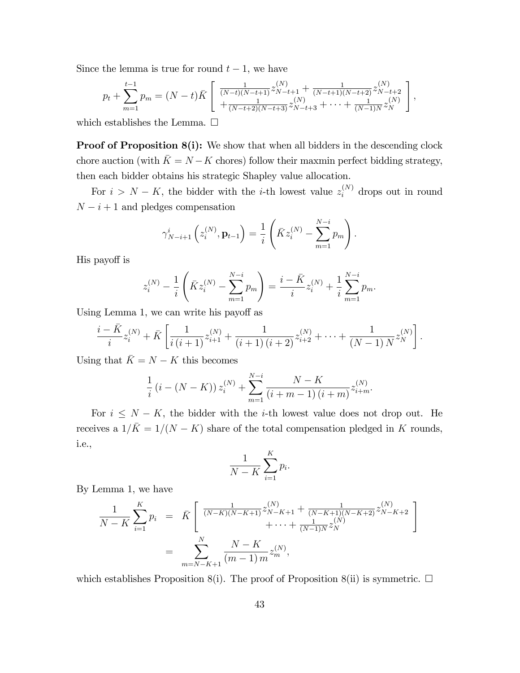Since the lemma is true for round  $t-1$ , we have

$$
p_t + \sum_{m=1}^{t-1} p_m = (N-t)\bar{K} \left[ \frac{\frac{1}{(N-t)(N-t+1)}z_{N-t+1}^{(N)} + \frac{1}{(N-t+1)(N-t+2)}z_{N-t+2}^{(N)}}{\frac{1}{(N-t+2)(N-t+3)}z_{N-t+3}^{(N)} + \dots + \frac{1}{(N-1)N}z_N^{(N)}} \right],
$$

which establishes the Lemma.  $\square$ 

**Proof of Proposition 8(i):** We show that when all bidders in the descending clock chore auction (with  $\bar{K} = N - K$  chores) follow their maxmin perfect bidding strategy, then each bidder obtains his strategic Shapley value allocation.

For  $i > N - K$ , the bidder with the *i*-th lowest value  $z_i^{(N)}$  drops out in round  ${\cal N} - i + 1$  and pledges compensation

$$
\gamma_{N-i+1}^{i} \left( z_i^{(N)}, \mathbf{p}_{t-1} \right) = \frac{1}{i} \left( \bar{K} z_i^{(N)} - \sum_{m=1}^{N-i} p_m \right).
$$

His payoff is

$$
z_i^{(N)} - \frac{1}{i} \left( \bar{K} z_i^{(N)} - \sum_{m=1}^{N-i} p_m \right) = \frac{i - \bar{K}}{i} z_i^{(N)} + \frac{1}{i} \sum_{m=1}^{N-i} p_m.
$$

Using Lemma 1, we can write his payoff as

$$
\frac{i - \bar{K}}{i} z_i^{(N)} + \bar{K} \left[ \frac{1}{i (i+1)} z_{i+1}^{(N)} + \frac{1}{(i+1) (i+2)} z_{i+2}^{(N)} + \dots + \frac{1}{(N-1) N} z_N^{(N)} \right]
$$

:

Using that  $\bar{K} = N - K$  this becomes

$$
\frac{1}{i} (i - (N - K)) z_i^{(N)} + \sum_{m=1}^{N-i} \frac{N - K}{(i + m - 1) (i + m)} z_{i+m}^{(N)}.
$$

For  $i \leq N - K$ , the bidder with the *i*-th lowest value does not drop out. He receives a  $1/\bar{K} = 1/(N - K)$  share of the total compensation pledged in K rounds, i.e.,

$$
\frac{1}{N-K} \sum_{i=1}^{K} p_i.
$$

By Lemma 1, we have

$$
\frac{1}{N-K} \sum_{i=1}^{K} p_i = \bar{K} \left[ \frac{\frac{1}{(N-K)(N-K+1)} z_{N-K+1}^{(N)} + \frac{1}{(N-K+1)(N-K+2)} z_{N-K+2}^{(N)}}{+ \cdots + \frac{1}{(N-1)N} z_N^{(N)}} \right]
$$
\n
$$
= \sum_{m=N-K+1}^{N} \frac{N-K}{(m-1) m} z_m^{(N)},
$$

which establishes Proposition 8(i). The proof of Proposition 8(ii) is symmetric.  $\Box$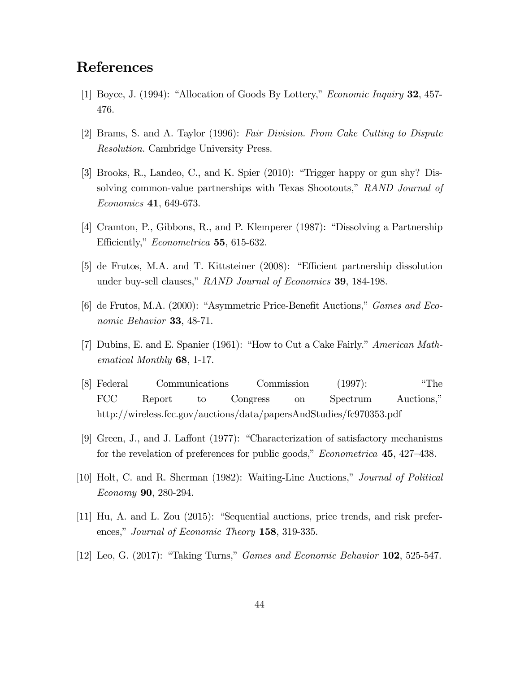# References

- [1] Boyce, J. (1994): "Allocation of Goods By Lottery," *Economic Inquiry* **32**, 457-476.
- [2] Brams, S. and A. Taylor (1996): Fair Division. From Cake Cutting to Dispute Resolution. Cambridge University Press.
- [3] Brooks, R., Landeo, C., and K. Spier  $(2010)$ : "Trigger happy or gun shy? Dissolving common-value partnerships with Texas Shootouts," RAND Journal of Economics 41, 649-673.
- [4] Cramton, P., Gibbons, R., and P. Klemperer (1987): "Dissolving a Partnership Efficiently," *Econometrica* 55, 615-632.
- $[5]$  de Frutos, M.A. and T. Kittsteiner  $(2008)$ : "Efficient partnership dissolution under buy-sell clauses," RAND Journal of Economics 39, 184-198.
- [6] de Frutos, M.A.  $(2000)$ : "Asymmetric Price-Benefit Auctions," *Games and Eco*nomic Behavior **33**, 48-71.
- [7] Dubins, E. and E. Spanier (1961): "How to Cut a Cake Fairly." American Mathematical Monthly 68, 1-17.
- [8] Federal Communications Commission (1997): "The FCC Report to Congress on Spectrum Auctions, http://wireless.fcc.gov/auctions/data/papersAndStudies/fc970353.pdf
- [9] Green, J., and J. Laffont (1977): "Characterization of satisfactory mechanisms for the revelation of preferences for public goods,"  $Econometrica$  **45**, 427–438.
- [10] Holt, C. and R. Sherman (1982): Waiting-Line Auctions," Journal of Political Economy 90, 280-294.
- $[11]$  Hu, A. and L. Zou  $(2015)$ : "Sequential auctions, price trends, and risk preferences," Journal of Economic Theory 158, 319-335.
- [12] Leo, G.  $(2017)$ : "Taking Turns," *Games and Economic Behavior* 102, 525-547.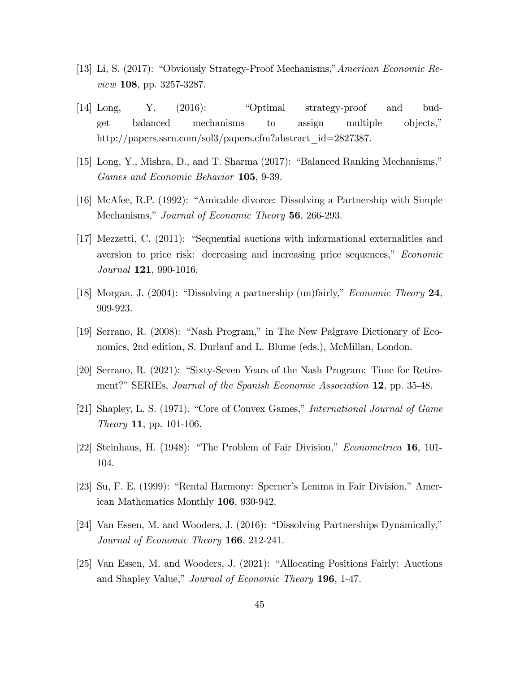- [13] Li, S. (2017): "Obviously Strategy-Proof Mechanisms," American Economic Review 108, pp. 3257-3287.
- [14] Long, Y.  $(2016)$ : "Optimal strategy-proof and budget balanced mechanisms to assign multiple objects," http://papers.ssrn.com/sol3/papers.cfm?abstract\_id=2827387.
- [15] Long, Y., Mishra, D., and T. Sharma  $(2017)$ : "Balanced Ranking Mechanisms," Games and Economic Behavior 105, 9-39.
- [16] McAfee, R.P. (1992): "Amicable divorce: Dissolving a Partnership with Simple Mechanisms," Journal of Economic Theory 56, 266-293.
- [17] Mezzetti, C.  $(2011)$ : "Sequential auctions with informational externalities and aversion to price risk: decreasing and increasing price sequences," *Economic* Journal 121, 990-1016.
- [18] Morgan, J. (2004): "Dissolving a partnership (un)fairly," *Economic Theory* 24, 909-923.
- [19] Serrano, R. (2008): "Nash Program," in The New Palgrave Dictionary of Economics, 2nd edition, S. Durlauf and L. Blume (eds.), McMillan, London.
- [20] Serrano, R. (2021): "Sixty-Seven Years of the Nash Program: Time for Retirement?" SERIEs, *Journal of the Spanish Economic Association* 12, pp. 35-48.
- [21] Shapley, L. S. (1971). "Core of Convex Games," International Journal of Game Theory 11, pp. 101-106.
- [22] Steinhaus, H. (1948): "The Problem of Fair Division," *Econometrica* 16, 101-104.
- [23] Su, F. E. (1999): "Rental Harmony: Sperner's Lemma in Fair Division," American Mathematics Monthly 106, 930-942.
- [24] Van Essen, M. and Wooders, J.  $(2016)$ : "Dissolving Partnerships Dynamically," Journal of Economic Theory 166, 212-241.
- [25] Van Essen, M. and Wooders, J. (2021): "Allocating Positions Fairly: Auctions and Shapley Value," Journal of Economic Theory 196, 1-47.